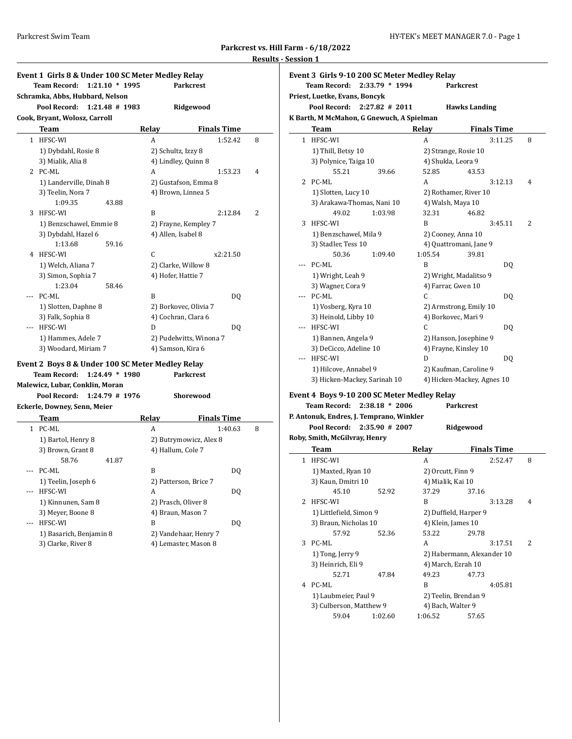|                                     | . |
|-------------------------------------|---|
| Parkcrest vs. Hill Farm - 6/18/2022 |   |

**Results - Session 1**

|                | Event 1 Girls 8 & Under 100 SC Meter Medley Relay |                     |                         |   |
|----------------|---------------------------------------------------|---------------------|-------------------------|---|
|                | <b>Team Record:</b><br>$1:21.10 * 1995$           |                     | <b>Parkcrest</b>        |   |
|                | Schramka, Abbs, Hubbard, Nelson                   |                     |                         |   |
|                | Pool Record:<br>$1:21.48$ # 1983                  |                     | Ridgewood               |   |
|                | Cook, Bryant, Wolosz, Carroll                     |                     |                         |   |
|                | Team                                              | Relay               | <b>Finals Time</b>      |   |
| $\mathbf{1}$   | HFSC-WI                                           | A                   | 1:52.42                 | 8 |
|                | 1) Dybdahl, Rosie 8                               | 2) Schultz, Izzy 8  |                         |   |
|                | 3) Mialik, Alia 8                                 |                     | 4) Lindley, Quinn 8     |   |
|                | 2 PC-ML                                           | A                   | 1:53.23                 | 4 |
|                | 1) Landerville, Dinah 8                           |                     | 2) Gustafson, Emma 8    |   |
|                | 3) Teelin, Nora 7                                 |                     | 4) Brown, Linnea 5      |   |
|                | 1:09.35<br>43.88                                  |                     |                         |   |
| 3              | HFSC-WI                                           | B                   | 2:12.84                 | 2 |
|                | 1) Benzschawel, Emmie 8                           |                     | 2) Frayne, Kempley 7    |   |
|                | 3) Dybdahl, Hazel 6                               | 4) Allen, Isabel 8  |                         |   |
|                | 1:13.68<br>59.16                                  |                     |                         |   |
| 4              | HFSC-WI                                           | C                   | x2:21.50                |   |
|                | 1) Welch, Aliana 7                                |                     | 2) Clarke, Willow 8     |   |
|                | 3) Simon, Sophia 7                                | 4) Hofer, Hattie 7  |                         |   |
|                | 1:23.04<br>58.46                                  |                     |                         |   |
|                | PC-ML                                             | B                   | DQ                      |   |
|                | 1) Slotten, Daphne 8                              |                     | 2) Borkovec, Olivia 7   |   |
|                | 3) Falk, Sophia 8                                 |                     | 4) Cochran, Clara 6     |   |
|                | --- HFSC-WI                                       | D                   | DQ                      |   |
|                | 1) Hammes, Adele 7                                |                     | 2) Pudelwitts, Winona 7 |   |
|                | 3) Woodard, Miriam 7                              | 4) Samson, Kira 6   |                         |   |
|                |                                                   |                     |                         |   |
|                | Event 2  Boys 8 & Under 100 SC Meter Medley Relay |                     | <b>Parkcrest</b>        |   |
|                | Team Record: 1:24.49 * 1980                       |                     |                         |   |
|                | Malewicz, Lubar, Conklin, Moran                   |                     |                         |   |
|                | 1:24.79 # 1976<br>Pool Record:                    |                     | Shorewood               |   |
|                | Eckerle, Downey, Senn, Meier                      |                     |                         |   |
|                | Team                                              | Relay               | <b>Finals Time</b>      |   |
|                | 1 PC-ML                                           | A                   | 1:40.63                 | 8 |
|                | 1) Bartol, Henry 8                                |                     | 2) Butrymowicz, Alex 8  |   |
|                | 3) Brown, Grant 8                                 | 4) Hallum, Cole 7   |                         |   |
|                | 58.76<br>41.87                                    |                     |                         |   |
| $- - -$        | PC-ML                                             | B                   | DQ                      |   |
|                | 1) Teelin, Joseph 6                               |                     | 2) Patterson, Brice 7   |   |
| $\overline{a}$ | HFSC-WI                                           | A                   | DQ                      |   |
|                | 1) Kinnunen, Sam 8                                | 2) Prasch, Oliver 8 |                         |   |
|                | 3) Meyer, Boone 8                                 | 4) Braun, Mason 7   |                         |   |
| ---            | HFSC-WI                                           | B                   | DQ                      |   |
|                | 1) Basarich, Benjamin 8                           |                     | 2) Vandehaar, Henry 7   |   |
|                | 3) Clarke, River 8                                |                     | 4) Lemaster, Mason 8    |   |
|                |                                                   |                     |                         |   |

**Event 3 Girls 9-10 200 SC Meter Medley Relay Team Record: 2:33.79 \* 1994 Parkcrest Priest, Luetke, Evans, Boncyk Pool Record: 2:27.82 # 2011 Hawks Landing K Barth, M McMahon, G Gnewuch, A Spielman Team Relay Finals Time** 1 HFSC-WI A 3:11.25 8 1) Thill, Betsy 10 2) Strange, Rosie 10 3) Polynice, Taiga 10 4) Shukla, Leora 9 55.21 39.66 52.85 43.53 2 PC-ML A 3:12.13 4 1) Slotten, Lucy 10 2) Rothamer, River 10 3) Arakawa-Thomas, Nani 10 4) Walsh, Maya 10 49.02 1:03.98 32.31 46.82 3 HFSC-WI B 3:45.11 2 1) Benzschawel, Mila 9 2) Cooney, Anna 10 3) Stadler, Tess 10 4) Quattromani, Jane 9 50.36 1:09.40 1:05.54 39.81 -- PC-ML B DQ 1) Wright, Leah 9 2) Wright, Madalitso 9 3) Wagner, Cora 9 4) Farrar, Gwen 10 --- PC-ML C DQ 1) Vosberg, Kyra 10 2) Armstrong, Emily 10 3) Heinold, Libby 10 4) Borkovec, Mari 9 --- HFSC-WI C DQ 1) Bannen, Angela 9 2) Hanson, Josephine 9 3) DeCicco, Adeline 10 4) Frayne, Kinsley 10 --- HFSC-WI D DQ 1) Hilcove, Annabel 9 2) Kaufman, Caroline 9 3) Hicken-Mackey, Sarinah 10 4) Hicken-Mackey, Agnes 10 **Event 4 Boys 9-10 200 SC Meter Medley Relay Team Record: 2:38.18 \* 2006 Parkcrest P. Antonuk, Endres, J. Temprano, Winkler Pool Record: 2:35.90 # 2007 Ridgewood Roby, Smith, McGilvray, Henry Team Relay Finals Time** 1 HFSC-WI A 2:52.47 8 1) Maxted, Ryan 10 2) Orcutt, Finn 9 3) Kaun, Dmitri 10 4) Mialik, Kai 10 45.10 52.92 37.29 37.16 2 HFSC-WI B 3:13.28 4 1) Littlefield, Simon 9 2) Duffield, Harper 9 3) Braun, Nicholas 10 4) Klein, James 10 57.92 52.36 53.22 29.78 3 PC-ML A 3:17.51 2 1) Tong, Jerry 9 2) Habermann, Alexander 10 3) Heinrich, Eli 9 4) March, Ezrah 10 52.71 47.84 49.23 47.73

> 1) Laubmeier, Paul 9 2) Teelin, Brendan 9 3) Culberson, Matthew 9 4) Bach, Walter 9 59.04 1:02.60 1:06.52 57.65

4 PC-ML B 4:05.81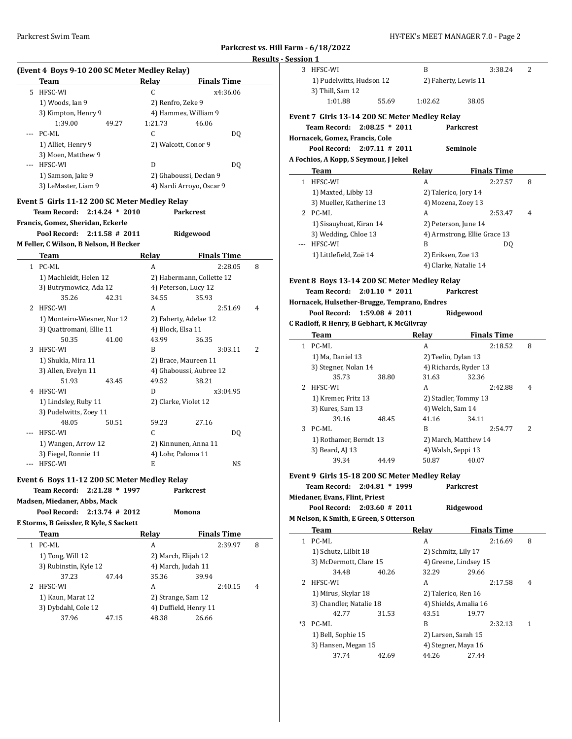# **Parkcrest vs. Hill Farm - 6/18/2022 Results - Ses**

 $\frac{1}{2}$ 

 $\sim$ 

|     | (Event 4 Boys 9-10 200 SC Meter Medley Relay) |                  |         |                           |   |
|-----|-----------------------------------------------|------------------|---------|---------------------------|---|
|     | <b>Team</b>                                   |                  | Relay   | <b>Finals Time</b>        |   |
|     | 5 HFSC-WI                                     |                  | C       | x4:36.06                  |   |
|     | 1) Woods, Ian 9                               |                  |         | 2) Renfro, Zeke 9         |   |
|     | 3) Kimpton, Henry 9                           |                  |         | 4) Hammes, William 9      |   |
|     | 1:39.00                                       | 49.27            | 1:21.73 | 46.06                     |   |
|     | PC-ML                                         |                  | C       | DQ                        |   |
|     | 1) Alliet, Henry 9                            |                  |         | 2) Walcott, Conor 9       |   |
|     | 3) Moen, Matthew 9                            |                  |         |                           |   |
|     | --- HFSC-WI                                   |                  | D       | DQ                        |   |
|     | 1) Samson, Jake 9                             |                  |         | 2) Ghaboussi, Declan 9    |   |
|     | 3) LeMaster, Liam 9                           |                  |         | 4) Nardi Arroyo, Oscar 9  |   |
|     |                                               |                  |         |                           |   |
|     | Event 5 Girls 11-12 200 SC Meter Medley Relay |                  |         |                           |   |
|     | Team Record:                                  | $2:14.24 * 2010$ |         | <b>Parkcrest</b>          |   |
|     | Francis, Gomez, Sheridan, Eckerle             |                  |         |                           |   |
|     | Pool Record: 2:11.58 # 2011                   |                  |         | Ridgewood                 |   |
|     | M Feller, C Wilson, B Nelson, H Becker        |                  |         |                           |   |
|     | Team                                          |                  | Relay   | <b>Finals Time</b>        |   |
|     | 1 PC-ML                                       |                  | A       | 2:28.05                   | 8 |
|     | 1) Machleidt, Helen 12                        |                  |         | 2) Habermann, Collette 12 |   |
|     | 3) Butrymowicz, Ada 12                        |                  |         | 4) Peterson, Lucy 12      |   |
|     | 35.26                                         | 42.31            | 34.55   | 35.93                     |   |
| 2   | HFSC-WI                                       |                  |         | 2:51.69                   | 4 |
|     |                                               |                  | А       |                           |   |
|     | 1) Monteiro-Wiesner, Nur 12                   |                  |         | 2) Faherty, Adelae 12     |   |
|     | 3) Quattromani, Ellie 11                      |                  |         | 4) Block, Elsa 11         |   |
|     | 50.35                                         | 41.00            | 43.99   | 36.35                     |   |
| 3   | HFSC-WI                                       |                  | B       | 3:03.11                   | 2 |
|     | 1) Shukla, Mira 11                            |                  |         | 2) Brace, Maureen 11      |   |
|     | 3) Allen, Evelyn 11                           |                  |         | 4) Ghaboussi, Aubree 12   |   |
|     | 51.93                                         | 43.45            | 49.52   | 38.21                     |   |
| 4   | HFSC-WI                                       |                  | D       | x3:04.95                  |   |
|     | 1) Lindsley, Ruby 11                          |                  |         | 2) Clarke, Violet 12      |   |
|     | 3) Pudelwitts, Zoey 11                        |                  |         |                           |   |
|     | 48.05                                         | 50.51            | 59.23   | 27.16                     |   |
| --- | HFSC-WI                                       |                  | C       | DQ                        |   |
|     | 1) Wangen, Arrow 12                           |                  |         | 2) Kinnunen, Anna 11      |   |
|     | 3) Fiegel, Ronnie 11                          |                  |         | 4) Lohr, Paloma 11        |   |
|     | HFSC-WI                                       |                  | E       | NS                        |   |
|     | Event 6 Boys 11-12 200 SC Meter Medley Relay  |                  |         |                           |   |
|     | <b>Team Record:</b>                           | $2:21.28 * 1997$ |         | <b>Parkcrest</b>          |   |
|     | Madsen, Miedaner, Abbs, Mack                  |                  |         |                           |   |
|     |                                               |                  |         |                           |   |
|     | Pool Record:                                  | $2:13.74$ # 2012 |         | Monona                    |   |
|     | E Storms, B Geissler, R Kyle, S Sackett       |                  |         |                           |   |
|     | Team                                          |                  | Relay   | <b>Finals Time</b>        |   |
|     | 1 PC-ML                                       |                  | A       | 2:39.97                   | 8 |
|     | 1) Tong, Will 12                              |                  |         | 2) March, Elijah 12       |   |
|     | 3) Rubinstin, Kyle 12                         |                  |         | 4) March, Judah 11        |   |
|     | 37.23                                         | 47.44            | 35.36   | 39.94                     |   |
| 2   | HFSC-WI                                       |                  | A       | 2:40.15                   | 4 |
|     | 1) Kaun, Marat 12                             |                  |         | 2) Strange, Sam 12        |   |
|     | 3) Dybdahl, Cole 12                           |                  |         | 4) Duffield, Henry 11     |   |
|     | 37.96                                         | 47.15            | 48.38   | 26.66                     |   |
|     |                                               |                  |         |                           |   |
|     |                                               |                  |         |                           |   |
|     |                                               |                  |         |                           |   |
|     |                                               |                  |         |                           |   |

| ai III - 0/10/2022 |                                                |                   |              |                              |   |
|--------------------|------------------------------------------------|-------------------|--------------|------------------------------|---|
| ession 1           |                                                |                   |              |                              |   |
|                    | 3 HFSC-WI                                      |                   | B            | 3:38.24                      | 2 |
|                    | 1) Pudelwitts, Hudson 12                       |                   |              | 2) Faherty, Lewis 11         |   |
|                    | 3) Thill, Sam 12                               |                   |              |                              |   |
|                    | 1:01.88                                        | 55.69             | 1:02.62      | 38.05                        |   |
|                    | Event 7  Girls 13-14 200 SC Meter Medley Relay |                   |              |                              |   |
|                    | <b>Team Record:</b>                            | $2:08.25 * 2011$  |              | <b>Parkcrest</b>             |   |
|                    | Hornacek, Gomez, Francis, Cole                 |                   |              |                              |   |
|                    | Pool Record:                                   | $2:07.11 \# 2011$ |              | Seminole                     |   |
|                    | A Fochios, A Kopp, S Seymour, J Jekel          |                   |              |                              |   |
|                    | Team                                           |                   | <b>Relay</b> | <b>Finals Time</b>           |   |
|                    | 1 HFSC-WI                                      |                   | A            | 2:27.57                      | 8 |
|                    | 1) Maxted, Libby 13                            |                   |              | 2) Talerico, Jory 14         |   |
|                    | 3) Mueller, Katherine 13                       |                   |              | 4) Mozena, Zoey 13           |   |
|                    | 2 PC-ML                                        |                   | A            | 2:53.47                      | 4 |
|                    | 1) Sisauyhoat, Kiran 14                        |                   |              | 2) Peterson, June 14         |   |
|                    | 3) Wedding, Chloe 13                           |                   |              | 4) Armstrong, Ellie Grace 13 |   |
| ---                | HFSC-WI                                        |                   | B            | DQ                           |   |
|                    | 1) Littlefield, Zoë 14                         |                   |              | 2) Eriksen, Zoe 13           |   |
|                    |                                                |                   |              | 4) Clarke, Natalie 14        |   |
|                    |                                                |                   |              |                              |   |
|                    | Event 8  Boys 13-14 200 SC Meter Medley Relay  |                   |              |                              |   |
|                    | <b>Team Record:</b>                            | $2:01.10 * 2011$  |              | <b>Parkcrest</b>             |   |
|                    | Hornacek, Hulsether-Brugge, Temprano, Endres   |                   |              |                              |   |
|                    | Pool Record:                                   | $1:59.08$ # 2011  |              | Ridgewood                    |   |
|                    | C Radloff, R Henry, B Gebhart, K McGilvray     |                   |              |                              |   |
|                    |                                                |                   |              |                              |   |
|                    | Team                                           |                   | Relay        | <b>Finals Time</b>           |   |
| 1                  | PC-ML                                          |                   | A            | 2:18.52                      | 8 |
|                    | 1) Ma, Daniel 13                               |                   |              | 2) Teelin, Dylan 13          |   |
|                    | 3) Stegner, Nolan 14                           |                   |              | 4) Richards, Ryder 13        |   |
|                    | 35.73                                          | 38.80             | 31.63        | 32.36                        |   |
| 2                  | HFSC-WI                                        |                   | A            | 2:42.88                      | 4 |
|                    | 1) Kremer, Fritz 13                            |                   |              | 2) Stadler, Tommy 13         |   |
|                    | 3) Kures, Sam 13                               |                   |              | 4) Welch, Sam 14             |   |
|                    | 39.16                                          | 48.45             | 41.16        | 34.11                        |   |
| 3                  | PC-ML                                          |                   | B            | 2:54.77                      | 2 |
|                    | 1) Rothamer, Berndt 13                         |                   |              | 2) March, Matthew 14         |   |
|                    | 3) Beard, AJ 13                                |                   |              | 4) Walsh, Seppi 13           |   |
|                    | 39.34                                          | 44.49             | 50.87        | 40.07                        |   |
|                    |                                                |                   |              |                              |   |
|                    | Event 9 Girls 15-18 200 SC Meter Medley Relay  |                   |              |                              |   |
|                    | <b>Team Record:</b>                            | $2:04.81 * 1999$  |              | <b>Parkcrest</b>             |   |
|                    | Miedaner, Evans, Flint, Priest                 |                   |              |                              |   |
|                    | Pool Record:                                   | $2:03.60$ # 2011  |              | Ridgewood                    |   |
|                    | M Nelson, K Smith, E Green, S Otterson         |                   |              |                              |   |
|                    | Team                                           |                   | Relay        | <b>Finals Time</b>           |   |
| 1                  | PC-ML                                          |                   | A            | 2:16.69                      | 8 |
|                    | 1) Schutz, Lilbit 18                           |                   |              | 2) Schmitz, Lily 17          |   |
|                    | 3) McDermott, Clare 15                         |                   |              | 4) Greene, Lindsey 15        |   |
|                    | 34.48                                          | 40.26             | 32.29        | 29.66                        |   |
| 2                  | HFSC-WI                                        |                   | A            | 2:17.58                      | 4 |
|                    | 1) Mirus, Skylar 18                            |                   |              | 2) Talerico, Ren 16          |   |
|                    | 3) Chandler, Natalie 18                        |                   |              | 4) Shields, Amalia 16        |   |
|                    | 42.77                                          | 31.53             | 43.51        | 19.77                        |   |
| *3                 | PC-ML                                          |                   | B            | 2:32.13                      | 1 |
|                    | 1) Bell, Sophie 15                             |                   |              | 2) Larsen, Sarah 15          |   |
|                    | 3) Hansen, Megan 15<br>37.74                   | 42.69             | 44.26        | 4) Stegner, Maya 16<br>27.44 |   |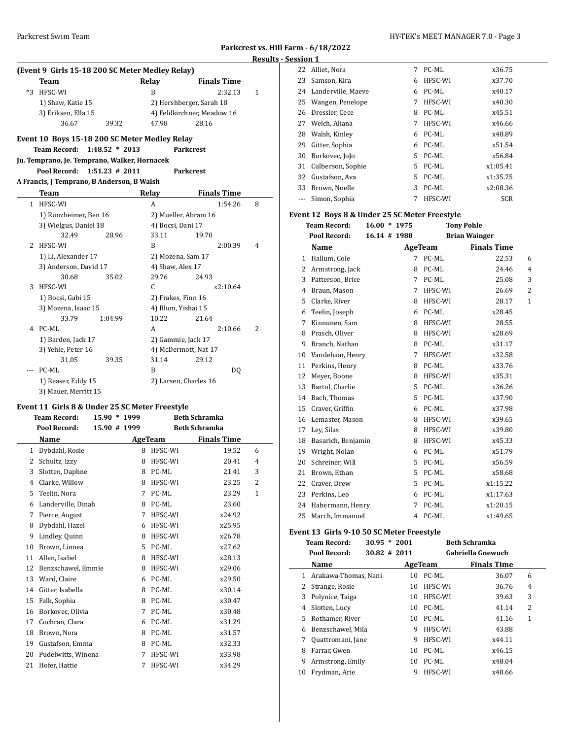| Parkcrest vs. Hill Farm - 6/18/2022 |  |
|-------------------------------------|--|
| <b>Results - Session 1</b>          |  |

# **(Event 9 Girls 15-18 200 SC Meter Medley Relay) Team Relay Finals Time** \*3 HFSC-WI B 2:32.13 1 1) Shaw, Katie 15 2) Hershberger, Sarah 18 3) Eriksen, Ella 15 4) Feldkirchner, Meadow 16 36.67 39.32 47.98 28.16 **Event 10 Boys 15-18 200 SC Meter Medley Relay Team Record: 1:48.52 \* 2013 Parkcrest Ju. Temprano, Je. Temprano, Walker, Hornacek Pool Record: 1:51.23 # 2011 Parkcrest A Francis, J Temprano, B Anderson, B Walsh Team Relay Finals Time**  HFSC-WI A 1:54.26 8 1) Runzheimer, Ben 16 2) Mueller, Abram 16 3) Wielgus, Daniel 18 4) Bocsi, Dani 17 32.49 28.96 33.11 19.70 HFSC-WI B 2:00.39 4 1) Li, Alexander 17 2) Mozena, Sam 17 3) Anderson, David 17 4) Shaw, Alex 17 30.68 35.02 29.76 24.93 HFSC-WI C x2:10.64 1) Bocsi, Gabi 15 2) Frakes, Finn 16 3) Mozena, Isaac 15 4) Blum, Yishai 15 33.79 1:04.99 10.22 21.64 PC-ML A 2:10.66 2 1) Barden, Jack 17 2) Gammie, Jack 17 3) Yehle, Peter 16 4) McDermott, Nat 17 31.05 39.35 31.14 29.12 --- PC-ML B DQ 1) Reaser, Eddy 15 2) Larsen, Charles 16

#### **Event 11 Girls 8 & Under 25 SC Meter Freestyle**

3) Mauer, Merritt 15

|    | <b>Team Record:</b> | 15.90 * 1999 |         | <b>Beth Schramka</b> |              |  |
|----|---------------------|--------------|---------|----------------------|--------------|--|
|    | Pool Record:        | 15.90 # 1999 |         | <b>Beth Schramka</b> |              |  |
|    | Name                |              | AgeTeam | <b>Finals Time</b>   |              |  |
| 1  | Dybdahl, Rosie      | 8            | HFSC-WI | 19.52                | 6            |  |
| 2  | Schultz, Izzy       | 8            | HFSC-WI | 20.41                | 4            |  |
| 3  | Slotten, Daphne     | 8            | PC-ML   | 21.41                | 3            |  |
| 4  | Clarke, Willow      | 8            | HFSC-WI | 23.25                | 2            |  |
| 5  | Teelin, Nora        | 7            | PC-ML   | 23.29                | $\mathbf{1}$ |  |
| 6  | Landerville, Dinah  | 8            | PC-ML   | 23.60                |              |  |
| 7  | Pierce, August      | 7            | HFSC-WI | x24.92               |              |  |
| 8  | Dybdahl, Hazel      | 6            | HFSC-WI | x25.95               |              |  |
| 9  | Lindley, Quinn      | 8            | HFSC-WI | x26.78               |              |  |
| 10 | Brown, Linnea       | 5.           | PC-ML   | x27.62               |              |  |
| 11 | Allen, Isabel       | 8            | HFSC-WI | x28.13               |              |  |
| 12 | Benzschawel, Emmie  | 8            | HFSC-WI | x29.06               |              |  |
| 13 | Ward, Claire        | 6            | PC-ML   | x29.50               |              |  |
| 14 | Gitter, Isabella    | 8            | PC-ML   | x30.14               |              |  |
| 15 | Falk, Sophia        | 8            | PC-ML   | x30.47               |              |  |
| 16 | Borkovec, Olivia    | 7            | PC-ML   | x30.48               |              |  |
| 17 | Cochran, Clara      | 6            | PC-ML   | x31.29               |              |  |
| 18 | Brown, Nora         | 8            | PC-ML   | x31.57               |              |  |
| 19 | Gustafson, Emma     | 8            | PC-ML   | x32.33               |              |  |
| 20 | Pudelwitts, Winona  | 7            | HFSC-WI | x33.98               |              |  |
| 21 | Hofer, Hattie       | 7            | HFSC-WI | x34.29               |              |  |

| ,,,,, |                       |    |         |            |  |
|-------|-----------------------|----|---------|------------|--|
|       | 22 Alliet, Nora       | 7  | PC-ML   | x36.75     |  |
| 23    | Samson, Kira          | 6  | HFSC-WI | x37.70     |  |
|       | 24 Landerville, Maeve | 6  | PC-ML   | x40.17     |  |
|       | 25 Wangen, Penelope   | 7  | HFSC-WI | x40.30     |  |
|       | 26 Dressler, Cece     | 8  | PC-ML   | x45.51     |  |
|       | 27 Welch, Aliana      | 7  | HFSC-WI | x46.66     |  |
| 28    | Walsh, Kinley         | 6  | PC-ML   | x48.89     |  |
| 29    | Gitter, Sophia        | 6  | PC-ML   | x51.54     |  |
| 30    | Borkovec, JoJo        | 5. | PC-ML   | x56.84     |  |
| 31    | Culberson, Sophie     | 5. | PC-ML   | x1:05.41   |  |
|       | 32 Gustafson, Ava     | 5. | PC-ML   | x1:35.75   |  |
| 33    | Brown, Noelle         | 3  | PC-ML   | x2:08.36   |  |
| $---$ | Simon, Sophia         | 7  | HFSC-WI | <b>SCR</b> |  |

#### **Event 12 Boys 8 & Under 25 SC Meter Freestyle**

|    | <b>Team Record:</b> | $16.00 * 1975$ |                |         | <b>Tony Pohle</b>    |                |
|----|---------------------|----------------|----------------|---------|----------------------|----------------|
|    | <b>Pool Record:</b> |                | $16.14$ # 1988 |         | <b>Brian Wainger</b> |                |
|    | Name                |                |                | AgeTeam | <b>Finals Time</b>   |                |
| 1  | Hallum, Cole        |                | 7              | PC-ML   | 22.53                | 6              |
| 2  | Armstrong, Jack     |                | 8              | PC-ML   | 24.46                | $\overline{4}$ |
| 3  | Patterson, Brice    |                | 7              | PC-ML   | 25.08                | 3              |
| 4  | Braun, Mason        |                | 7              | HFSC-WI | 26.69                | 2              |
| 5  | Clarke, River       |                | 8              | HFSC-WI | 28.17                | $\mathbf{1}$   |
| 6  | Teelin, Joseph      |                | 6              | PC-ML   | x28.45               |                |
| 7  | Kinnunen, Sam       |                | 8              | HFSC-WI | 28.55                |                |
| 8  | Prasch, Oliver      |                | 8              | HFSC-WI | x28.69               |                |
| 9  | Branch, Nathan      |                | 8              | PC-ML   | x31.17               |                |
| 10 | Vandehaar, Henry    |                | 7              | HFSC-WI | x32.58               |                |
| 11 | Perkins, Henry      |                | 8              | PC-ML   | x33.76               |                |
| 12 | Meyer, Boone        |                | 8              | HFSC-WI | x35.31               |                |
| 13 | Bartol, Charlie     |                | 5              | PC-ML   | x36.26               |                |
| 14 | Bach, Thomas        |                | 5              | PC-ML   | x37.90               |                |
| 15 | Craver, Griffin     |                | 6              | PC-ML   | x37.98               |                |
| 16 | Lemaster, Mason     |                | 8              | HFSC-WI | x39.65               |                |
| 17 | Ley, Silas          |                | 8              | HFSC-WI | x39.80               |                |
| 18 | Basarich, Benjamin  |                | 8              | HFSC-WI | x45.33               |                |
| 19 | Wright, Nolan       |                | 6              | PC-ML   | x51.79               |                |
| 20 | Schreiner, Will     |                | 5              | PC-ML   | x56.59               |                |
| 21 | Brown, Ethan        |                | 5              | PC-ML   | x58.68               |                |
| 22 | Craver, Drew        |                | 5              | PC-ML   | x1:15.22             |                |
| 23 | Perkins, Leo        |                | 6              | PC-ML   | x1:17.63             |                |
| 24 | Habermann, Henry    |                | 7              | PC-ML   | x1:20.15             |                |
| 25 | March, Immanuel     |                | 4              | PC-ML   | x1:49.65             |                |
|    |                     |                |                |         |                      |                |

#### **Event 13 Girls 9-10 50 SC Meter Freestyle**

|    | <b>Team Record:</b>  | $30.95 * 2001$   |    |         | <b>Beth Schramka</b>     |   |  |
|----|----------------------|------------------|----|---------|--------------------------|---|--|
|    | Pool Record:         | $30.82 \pm 2011$ |    |         | <b>Gabriella Gnewuch</b> |   |  |
|    | Name                 |                  |    | AgeTeam | <b>Finals Time</b>       |   |  |
| 1  | Arakawa-Thomas, Nani |                  | 10 | PC-ML   | 36.07                    | 6 |  |
| 2  | Strange, Rosie       |                  | 10 | HFSC-WI | 36.76                    | 4 |  |
| 3  | Polynice, Taiga      |                  | 10 | HFSC-WI | 39.63                    | 3 |  |
| 4  | Slotten, Lucy        |                  | 10 | PC-ML   | 41.14                    | 2 |  |
| 5. | Rothamer, River      |                  | 10 | PC-ML   | 41.16                    | 1 |  |
| 6  | Benzschawel, Mila    |                  | 9  | HFSC-WI | 43.88                    |   |  |
| 7  | Quattromani, Jane    |                  | 9  | HFSC-WI | x44.11                   |   |  |
| 8  | Farrar, Gwen         |                  | 10 | PC-ML   | x46.15                   |   |  |
| 9  | Armstrong, Emily     |                  | 10 | PC-ML   | x48.04                   |   |  |
| 10 | Frydman, Arie        |                  | 9  | HFSC-WI | x48.66                   |   |  |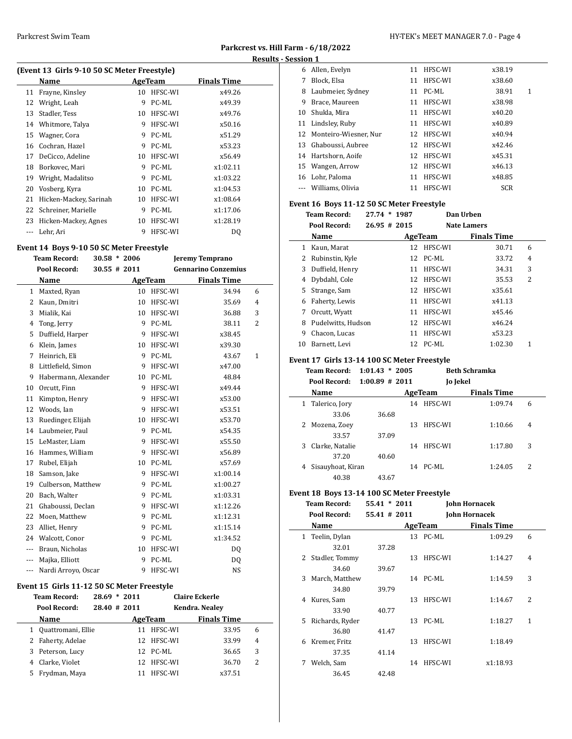# **Parkcrest vs. Hill Farm - 6/18/2022 Results - Session 1**

| (Event 13 Girls 9-10 50 SC Meter Freestyle) |                        |    |         |             |  |  |  |  |
|---------------------------------------------|------------------------|----|---------|-------------|--|--|--|--|
|                                             | Name                   |    | AgeTeam | Finals Time |  |  |  |  |
| 11                                          | Frayne, Kinsley        | 10 | HFSC-WI | x49.26      |  |  |  |  |
| 12                                          | Wright, Leah           | 9  | PC-ML   | x49.39      |  |  |  |  |
| 13                                          | Stadler, Tess          | 10 | HFSC-WI | x49.76      |  |  |  |  |
|                                             | 14 Whitmore, Talya     | 9  | HFSC-WI | x50.16      |  |  |  |  |
| 15                                          | Wagner, Cora           | 9  | PC-ML   | x51.29      |  |  |  |  |
| 16                                          | Cochran, Hazel         | 9  | PC-ML   | x53.23      |  |  |  |  |
| 17                                          | DeCicco, Adeline       | 10 | HFSC-WI | x56.49      |  |  |  |  |
| 18                                          | Borkovec, Mari         | 9  | PC-ML   | x1:02.11    |  |  |  |  |
| 19                                          | Wright, Madalitso      | 9  | PC-ML   | x1:03.22    |  |  |  |  |
| 20                                          | Vosberg, Kyra          | 10 | PC-ML   | x1:04.53    |  |  |  |  |
| 21                                          | Hicken-Mackey, Sarinah | 10 | HFSC-WI | x1:08.64    |  |  |  |  |
|                                             | 22 Schreiner, Marielle | 9  | PC-ML   | x1:17.06    |  |  |  |  |
| 23                                          | Hicken-Mackey, Agnes   | 10 | HFSC-WI | x1:28.19    |  |  |  |  |
| $- - -$                                     | Lehr, Ari              | 9  | HFSC-WI | DO.         |  |  |  |  |

# **Event 14 Boys 9-10 50 SC Meter Freestyle**

|              | <b>Team Record:</b>  | $30.58 * 2006$ | <b>Jeremy Temprano</b> |                            |                |
|--------------|----------------------|----------------|------------------------|----------------------------|----------------|
|              | Pool Record:         | $30.55$ # 2011 |                        | <b>Gennarino Conzemius</b> |                |
|              | Name                 | AgeTeam        |                        | <b>Finals Time</b>         |                |
| $\mathbf{1}$ | Maxted, Ryan         | 10             | HFSC-WI                | 34.94                      | 6              |
| 2            | Kaun, Dmitri         | 10             | HFSC-WI                | 35.69                      | $\overline{4}$ |
| 3            | Mialik, Kai          | 10             | HFSC-WI                | 36.88                      | 3              |
| 4            | Tong, Jerry          | 9              | PC-ML                  | 38.11                      | 2              |
| 5            | Duffield, Harper     | 9              | HFSC-WI                | x38.45                     |                |
| 6            | Klein, James         | 10             | HFSC-WI                | x39.30                     |                |
| 7            | Heinrich, Eli        | 9              | PC-ML                  | 43.67                      | $\mathbf{1}$   |
| 8            | Littlefield, Simon   | 9              | HFSC-WI                | x47.00                     |                |
| 9            | Habermann, Alexander | 10             | PC-ML                  | 48.84                      |                |
| 10           | Orcutt, Finn         | 9              | HFSC-WI                | x49.44                     |                |
| 11           | Kimpton, Henry       | 9              | HFSC-WI                | x53.00                     |                |
| 12           | Woods, Ian           | 9              | HFSC-WI                | x53.51                     |                |
| 13           | Ruedinger, Elijah    | 10             | HFSC-WI                | x53.70                     |                |
| 14           | Laubmeier. Paul      | 9              | PC-ML                  | x54.35                     |                |
| 15           | LeMaster, Liam       | 9              | HFSC-WI                | x55.50                     |                |
| 16           | Hammes, William      | 9              | HFSC-WI                | x56.89                     |                |
| 17           | Rubel, Elijah        | 10             | PC-ML                  | x57.69                     |                |
| 18           | Samson, Jake         | 9              | HFSC-WI                | x1:00.14                   |                |
| 19           | Culberson, Matthew   | 9              | PC-ML                  | x1:00.27                   |                |
| 20           | Bach, Walter         | 9              | PC-ML                  | x1:03.31                   |                |
| 21           | Ghaboussi, Declan    | 9              | HFSC-WI                | x1:12.26                   |                |
| 22           | Moen, Matthew        | 9              | PC-ML                  | x1:12.31                   |                |
| 23           | Alliet, Henry        | 9              | PC-ML                  | x1:15.14                   |                |
| 24           | Walcott, Conor       | 9              | PC-ML                  | x1:34.52                   |                |
| ---          | Braun, Nicholas      | 10             | HFSC-WI                | DQ                         |                |
| ---          | Majka, Elliott       | 9              | PC-ML                  | DQ                         |                |
| ---          | Nardi Arroyo, Oscar  | 9              | HFSC-WI                | <b>NS</b>                  |                |

#### **Event 15 Girls 11-12 50 SC Meter Freestyle**

| 6 |
|---|
| 4 |
| 3 |
| 2 |
|   |
|   |

|    | 6 Allen, Evelyn       | 11 | HFSC-WI | x38.19     |   |
|----|-----------------------|----|---------|------------|---|
| 7  | Block, Elsa           | 11 | HFSC-WI | x38.60     |   |
| 8  | Laubmeier, Sydney     | 11 | PC-ML   | 38.91      | 1 |
| 9  | Brace, Maureen        | 11 | HFSC-WI | x38.98     |   |
| 10 | Shukla, Mira          | 11 | HFSC-WI | x40.20     |   |
| 11 | Lindsley, Ruby        | 11 | HFSC-WI | x40.89     |   |
| 12 | Monteiro-Wiesner. Nur | 12 | HFSC-WI | x40.94     |   |
| 13 | Ghaboussi, Aubree     | 12 | HFSC-WI | x42.46     |   |
| 14 | Hartshorn, Aoife      | 12 | HFSC-WI | x45.31     |   |
| 15 | Wangen, Arrow         | 12 | HFSC-WI | x46.13     |   |
| 16 | Lohr, Paloma          | 11 | HFSC-WI | x48.85     |   |
|    | Williams, Olivia      | 11 | HFSC-WI | <b>SCR</b> |   |

# **Event 16 Boys 11-12 50 SC Meter Freestyle**

|    | <b>Team Record:</b> | 27.74 * 1987     |    |         | Dan Urben          |   |
|----|---------------------|------------------|----|---------|--------------------|---|
|    | Pool Record:        | $26.95 \pm 2015$ |    |         | Nate Lamers        |   |
|    | Name                |                  |    | AgeTeam | <b>Finals Time</b> |   |
| 1  | Kaun, Marat         |                  | 12 | HFSC-WI | 30.71              | 6 |
| 2  | Rubinstin, Kyle     |                  | 12 | PC-ML   | 33.72              | 4 |
| 3  | Duffield, Henry     |                  | 11 | HFSC-WI | 34.31              | 3 |
| 4  | Dybdahl, Cole       |                  | 12 | HFSC-WI | 35.53              | 2 |
| 5. | Strange, Sam        |                  | 12 | HFSC-WI | x35.61             |   |
| 6  | Faherty, Lewis      |                  | 11 | HFSC-WI | x41.13             |   |
| 7  | Orcutt, Wyatt       |                  | 11 | HFSC-WI | x45.46             |   |
| 8  | Pudelwitts, Hudson  |                  | 12 | HFSC-WI | x46.24             |   |
| 9  | Chacon, Lucas       |                  | 11 | HFSC-WI | x53.23             |   |
| 10 | Barnett, Levi       |                  | 12 | PC-ML   | 1:02.30            |   |

# **Event 17 Girls 13-14 100 SC Meter Freestyle**

|   | <b>Team Record:</b> | $1:01.43 * 2005$ |    |          | <b>Beth Schramka</b> |   |  |
|---|---------------------|------------------|----|----------|----------------------|---|--|
|   | Pool Record:        | $1:00.89$ # 2011 |    | Jo Jekel |                      |   |  |
|   | Name                |                  |    | AgeTeam  | <b>Finals Time</b>   |   |  |
| 1 | Talerico, Jory      |                  | 14 | HFSC-WI  | 1:09.74              | 6 |  |
|   | 33.06               | 36.68            |    |          |                      |   |  |
|   | 2 Mozena, Zoey      |                  | 13 | HFSC-WI  | 1:10.66              | 4 |  |
|   | 33.57               | 37.09            |    |          |                      |   |  |
| 3 | Clarke, Natalie     |                  | 14 | HFSC-WI  | 1:17.80              | 3 |  |
|   | 37.20               | 40.60            |    |          |                      |   |  |
| 4 | Sisauyhoat, Kiran   |                  | 14 | PC-ML    | 1:24.05              | 2 |  |
|   | 40.38               | 43.67            |    |          |                      |   |  |

# **Event 18 Boys 13-14 100 SC Meter Freestyle**

|              | <b>Team Record:</b> | $55.41 * 2011$ |    |                | <b>John Hornacek</b> |   |  |
|--------------|---------------------|----------------|----|----------------|----------------------|---|--|
|              | Pool Record:        | 55.41 # 2011   |    | John Hornacek  |                      |   |  |
|              | Name                |                |    | <b>AgeTeam</b> | <b>Finals Time</b>   |   |  |
| $\mathbf{1}$ | Teelin, Dylan       |                |    | 13 PC-ML       | 1:09.29              | 6 |  |
|              | 32.01               | 37.28          |    |                |                      |   |  |
| 2            | Stadler, Tommy      |                | 13 | HFSC-WI        | 1:14.27              | 4 |  |
|              | 34.60               | 39.67          |    |                |                      |   |  |
| 3            | March, Matthew      |                | 14 | PC-ML          | 1:14.59              | 3 |  |
|              | 34.80               | 39.79          |    |                |                      |   |  |
| 4            | Kures, Sam          |                | 13 | HFSC-WI        | 1:14.67              | 2 |  |
|              | 33.90               | 40.77          |    |                |                      |   |  |
| 5            | Richards, Ryder     |                | 13 | PC-ML          | 1:18.27              | 1 |  |
|              | 36.80               | 41.47          |    |                |                      |   |  |
| 6            | Kremer, Fritz       |                | 13 | HFSC-WI        | 1:18.49              |   |  |
|              | 37.35               | 41.14          |    |                |                      |   |  |
| 7            | Welch, Sam          |                | 14 | HFSC-WI        | x1:18.93             |   |  |
|              | 36.45               | 42.48          |    |                |                      |   |  |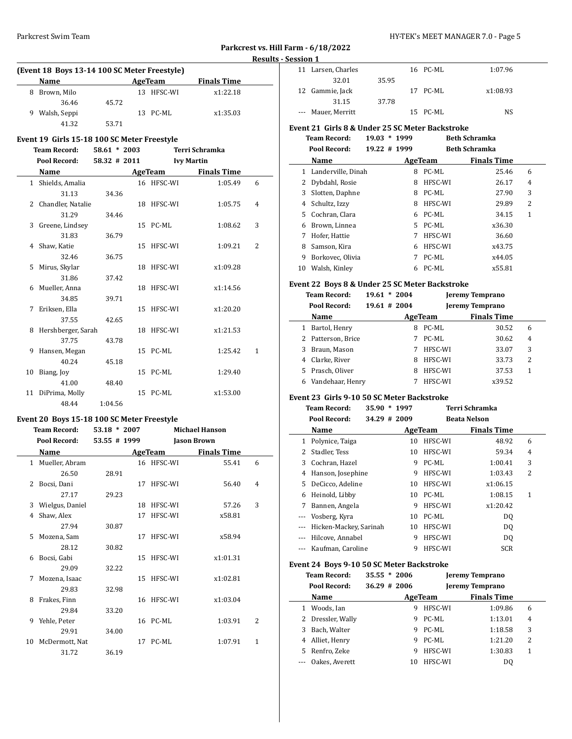# Parkcrest Swim Team HY-TEK's MEET MANAGER 7.0 - Page 5

# **Parkcrest vs. Hill Farm - 6/18/2022 Results - Session 1**

| (Event 18 Boys 13-14 100 SC Meter Freestyle) |                |       |  |            |                    |  |  |  |  |
|----------------------------------------------|----------------|-------|--|------------|--------------------|--|--|--|--|
|                                              | <b>Name</b>    |       |  | AgeTeam    | <b>Finals Time</b> |  |  |  |  |
| 8.                                           | Brown, Milo    |       |  | 13 HFSC-WI | x1:22.18           |  |  |  |  |
|                                              | 36.46          | 45.72 |  |            |                    |  |  |  |  |
|                                              | 9 Walsh, Seppi |       |  | 13 PC-ML   | x1:35.03           |  |  |  |  |
|                                              | 41.32          | 53.71 |  |            |                    |  |  |  |  |

#### **Event 19 Girls 15-18 100 SC Meter Freestyle**

|    | 41.32                                       | 53.71            |            |                    |                |
|----|---------------------------------------------|------------------|------------|--------------------|----------------|
|    | Event 19 Girls 15-18 100 SC Meter Freestyle |                  |            |                    |                |
|    | <b>Team Record:</b>                         | $58.61 * 2003$   |            | Terri Schramka     |                |
|    | Pool Record:                                | $58.32 \pm 2011$ |            | <b>Ivy Martin</b>  |                |
|    | Name                                        |                  | AgeTeam    | <b>Finals Time</b> |                |
|    | 1 Shields, Amalia                           |                  | 16 HFSC-WI | 1:05.49            | 6              |
|    | 31.13                                       | 34.36            |            |                    |                |
|    | 2 Chandler, Natalie                         |                  | 18 HFSC-WI | 1:05.75            | 4              |
|    | 31.29                                       | 34.46            |            |                    |                |
|    | 3 Greene, Lindsey                           |                  | 15 PC-ML   | 1:08.62            | 3              |
|    | 31.83                                       | 36.79            |            |                    |                |
|    | 4 Shaw, Katie                               |                  | 15 HFSC-WI | 1:09.21            | $\overline{2}$ |
|    | 32.46                                       | 36.75            |            |                    |                |
| 5. | Mirus, Skylar                               |                  | 18 HFSC-WI | x1:09.28           |                |
|    | 31.86                                       | 37.42            |            |                    |                |
|    | 6 Mueller, Anna                             |                  | 18 HFSC-WI | x1:14.56           |                |
|    | 34.85                                       | 39.71            |            |                    |                |
| 7  | Eriksen, Ella                               |                  | 15 HFSC-WI | x1:20.20           |                |
|    | 37.55                                       | 42.65            |            |                    |                |
|    | 8 Hershberger, Sarah                        |                  | 18 HFSC-WI | x1:21.53           |                |
|    | 37.75                                       | 43.78            |            |                    |                |
| 9  | Hansen, Megan                               |                  | 15 PC-ML   | 1:25.42            | 1              |
|    | 40.24                                       | 45.18            |            |                    |                |
| 10 | Biang, Joy                                  |                  | 15 PC-ML   | 1:29.40            |                |
|    | 41.00                                       | 48.40            |            |                    |                |
| 11 | DiPrima, Molly                              |                  | 15 PC-ML   | x1:53.00           |                |
|    | 48.44                                       | 1:04.56          |            |                    |                |

#### **Event 20 Boys 15-18 100 SC Meter Freestyle**

|    | <b>Team Record:</b> | <b>Michael Hanson</b><br>$53.18 * 2007$ |    |            |                    |              |
|----|---------------------|-----------------------------------------|----|------------|--------------------|--------------|
|    | Pool Record:        | 53.55 # 1999                            |    |            | <b>Jason Brown</b> |              |
|    | Name                |                                         |    | AgeTeam    | <b>Finals Time</b> |              |
|    | 1 Mueller, Abram    |                                         |    | 16 HFSC-WI | 55.41              | 6            |
|    | 26.50               | 28.91                                   |    |            |                    |              |
| 2  | Bocsi, Dani         |                                         | 17 | HFSC-WI    | 56.40              | 4            |
|    | 27.17               | 29.23                                   |    |            |                    |              |
| 3  | Wielgus, Daniel     |                                         | 18 | HFSC-WI    | 57.26              | 3            |
| 4  | Shaw, Alex          |                                         | 17 | HFSC-WI    | x58.81             |              |
|    | 27.94               | 30.87                                   |    |            |                    |              |
| 5  | Mozena, Sam         |                                         | 17 | HFSC-WI    | x58.94             |              |
|    | 28.12               | 30.82                                   |    |            |                    |              |
| 6  | Bocsi, Gabi         |                                         | 15 | HFSC-WI    | x1:01.31           |              |
|    | 29.09               | 32.22                                   |    |            |                    |              |
| 7  | Mozena, Isaac       |                                         | 15 | HFSC-WI    | x1:02.81           |              |
|    | 29.83               | 32.98                                   |    |            |                    |              |
| 8  | Frakes, Finn        |                                         | 16 | HFSC-WI    | x1:03.04           |              |
|    | 29.84               | 33.20                                   |    |            |                    |              |
| 9  | Yehle, Peter        |                                         |    | 16 PC-ML   | 1:03.91            | 2            |
|    | 29.91               | 34.00                                   |    |            |                    |              |
| 10 | McDermott, Nat      |                                         | 17 | PC-ML      | 1:07.91            | $\mathbf{1}$ |
|    | 31.72               | 36.19                                   |    |            |                    |              |

| . |                    |       |          |          |  |
|---|--------------------|-------|----------|----------|--|
|   | 11 Larsen, Charles |       | 16 PC-ML | 1:07.96  |  |
|   | 32.01              | 35.95 |          |          |  |
|   | 12 Gammie, Jack    |       | 17 PC-ML | x1:08.93 |  |
|   | 31.15              | 37.78 |          |          |  |
|   | --- Mauer, Merritt |       | 15 PC-ML | NS.      |  |
|   |                    |       |          |          |  |

# **Event 21 Girls 8 & Under 25 SC Meter Backstroke**

|    | <b>Team Record:</b> | 19.03        | $*1999$ |         | <b>Beth Schramka</b> |   |
|----|---------------------|--------------|---------|---------|----------------------|---|
|    | Pool Record:        | 19.22 # 1999 |         |         | <b>Beth Schramka</b> |   |
|    | Name                |              |         | AgeTeam | <b>Finals Time</b>   |   |
| 1. | Landerville, Dinah  |              | 8       | PC-ML   | 25.46                | 6 |
|    | Dybdahl, Rosie      |              | 8       | HFSC-WI | 26.17                | 4 |
| 3  | Slotten, Daphne     |              | 8       | PC-ML   | 27.90                | 3 |
| 4  | Schultz, Izzy       |              | 8       | HFSC-WI | 29.89                | 2 |
| 5. | Cochran, Clara      |              | 6.      | PC-ML   | 34.15                | 1 |
| 6  | Brown, Linnea       |              | 5.      | PC-ML   | x36.30               |   |
| 7  | Hofer, Hattie       |              |         | HFSC-WI | 36.60                |   |
| 8  | Samson, Kira        |              | 6       | HFSC-WI | x43.75               |   |
| 9  | Borkovec, Olivia    |              |         | PC-ML   | x44.05               |   |
| 10 | Walsh, Kinley       |              | 6       | PC-ML   | x55.81               |   |

#### **Event 22 Boys 8 & Under 25 SC Meter Backstroke**

| <b>Team Record:</b><br>Pool Record: | $19.61 * 2004$<br>$19.61 \# 2004$ |         | <b>Jeremy Temprano</b><br><b>Jeremy Temprano</b> |                |
|-------------------------------------|-----------------------------------|---------|--------------------------------------------------|----------------|
| Name                                |                                   | AgeTeam | <b>Finals Time</b>                               |                |
| Bartol, Henry<br>1                  | 8                                 | PC-ML   | 30.52                                            | 6              |
| 2 Patterson, Brice                  |                                   | PC-ML   | 30.62                                            | $\overline{4}$ |
| Braun, Mason<br>3                   |                                   | HFSC-WI | 33.07                                            | 3              |
| Clarke, River<br>4                  | 8                                 | HFSC-WI | 33.73                                            | 2              |
| Prasch, Oliver<br>5.                | 8                                 | HFSC-WI | 37.53                                            | 1              |
| Vandehaar, Henry<br>6               |                                   | HFSC-WI | x39.52                                           |                |

# **Event 23 Girls 9-10 50 SC Meter Backstroke**

|          | <b>Team Record:</b>    | 35.90        | $*1997$ |         | Terri Schramka      |   |  |
|----------|------------------------|--------------|---------|---------|---------------------|---|--|
|          | <b>Pool Record:</b>    | 34.29 # 2009 |         |         | <b>Beata Nelson</b> |   |  |
|          | Name                   |              |         | AgeTeam | <b>Finals Time</b>  |   |  |
| 1        | Polynice, Taiga        |              | 10      | HFSC-WI | 48.92               | 6 |  |
| 2        | Stadler, Tess          |              | 10      | HFSC-WI | 59.34               | 4 |  |
| 3        | Cochran, Hazel         |              | 9       | PC-ML   | 1:00.41             | 3 |  |
| 4        | Hanson, Josephine      |              | 9       | HFSC-WI | 1:03.43             | 2 |  |
| 5        | DeCicco, Adeline       |              | 10      | HFSC-WI | x1:06.15            |   |  |
| 6        | Heinold, Libby         |              | 10      | PC-ML   | 1:08.15             | 1 |  |
| 7        | Bannen, Angela         |              | 9       | HFSC-WI | x1:20.42            |   |  |
| $\cdots$ | Vosberg, Kyra          |              | 10      | PC-ML   | D <sub>0</sub>      |   |  |
|          | Hicken-Mackey, Sarinah |              | 10      | HFSC-WI | DQ                  |   |  |
|          | Hilcove, Annabel       |              | 9       | HFSC-WI | DQ                  |   |  |
|          | Kaufman, Caroline      |              | 9       | HFSC-WI | <b>SCR</b>          |   |  |

### **Event 24 Boys 9-10 50 SC Meter Backstroke**

|    | <b>Team Record:</b><br>Pool Record: | $35.55 * 2006$<br>$36.29$ # 2006 |    |         | <b>Jeremy Temprano</b><br><b>Jeremy Temprano</b> |                |  |
|----|-------------------------------------|----------------------------------|----|---------|--------------------------------------------------|----------------|--|
|    | Name                                |                                  |    | AgeTeam | <b>Finals Time</b>                               |                |  |
| 1  | Woods, Ian                          |                                  | 9  | HFSC-WI | 1:09.86                                          | 6              |  |
|    | 2 Dressler, Wally                   |                                  | 9  | PC-ML   | 1:13.01                                          | $\overline{4}$ |  |
| 3  | Bach, Walter                        |                                  | 9  | PC-ML   | 1:18.58                                          | 3              |  |
|    | 4 Alliet, Henry                     |                                  | 9  | PC-ML   | 1:21.20                                          | 2              |  |
| 5. | Renfro, Zeke                        |                                  | 9  | HFSC-WI | 1:30.83                                          | 1              |  |
|    | Oakes, Averett                      |                                  | 10 | HFSC-WI | DO                                               |                |  |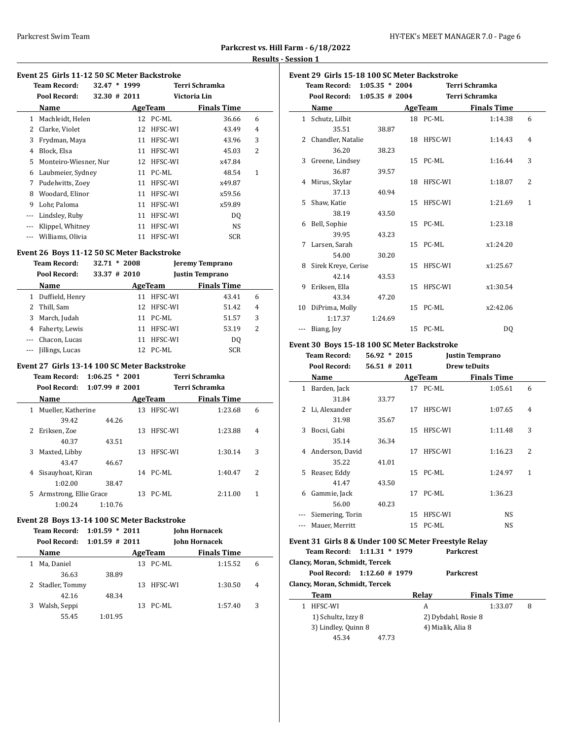| Parkcrest vs. Hill Farm - 6/18/2022 |  |
|-------------------------------------|--|
| <b>Results - Session 1</b>          |  |

## **Event 25 Girls 11-12 50 SC Meter Backstroke**

|   | <b>Team Record:</b>   | $32.47 * 1999$  |    |          | Terri Schramka     |   |  |
|---|-----------------------|-----------------|----|----------|--------------------|---|--|
|   | Pool Record:          | $32.30 \# 2011$ |    |          | Victoria Lin       |   |  |
|   | Name                  |                 |    | AgeTeam  | <b>Finals Time</b> |   |  |
| 1 | Machleidt, Helen      |                 |    | 12 PC-ML | 36.66              | 6 |  |
| 2 | Clarke, Violet        |                 | 12 | HFSC-WI  | 43.49              | 4 |  |
| 3 | Frydman, Maya         |                 | 11 | HFSC-WI  | 43.96              | 3 |  |
| 4 | Block, Elsa           |                 | 11 | HFSC-WI  | 45.03              | 2 |  |
| 5 | Monteiro-Wiesner, Nur |                 | 12 | HFSC-WI  | x47.84             |   |  |
| 6 | Laubmeier, Sydney     |                 | 11 | PC-ML    | 48.54              | 1 |  |
| 7 | Pudelwitts, Zoev      |                 | 11 | HFSC-WI  | x49.87             |   |  |
| 8 | Woodard, Elinor       |                 | 11 | HFSC-WI  | x59.56             |   |  |
| 9 | Lohr, Paloma          |                 | 11 | HFSC-WI  | x59.89             |   |  |
|   | Lindsley, Ruby        |                 | 11 | HFSC-WI  | D <sub>0</sub>     |   |  |
|   | Klippel, Whitney      |                 | 11 | HFSC-WI  | NS                 |   |  |
|   | Williams, Olivia      |                 | 11 | HFSC-WI  | <b>SCR</b>         |   |  |

# **Event 26 Boys 11-12 50 SC Meter Backstroke**

| <b>Team Record:</b><br>Pool Record: |                 | $32.71 * 2008$<br>33.37 # 2010 |         | Jeremy Temprano<br><b>Justin Temprano</b> |   |
|-------------------------------------|-----------------|--------------------------------|---------|-------------------------------------------|---|
|                                     | Name            |                                | AgeTeam | <b>Finals Time</b>                        |   |
| 1                                   | Duffield, Henry | 11                             | HFSC-WI | 43.41                                     | 6 |
| $\mathbf{2}$                        | Thill, Sam      | 12                             | HFSC-WI | 51.42                                     | 4 |
| 3                                   | March, Judah    | 11                             | PC-ML   | 51.57                                     | 3 |
| 4                                   | Faherty, Lewis  | 11                             | HFSC-WI | 53.19                                     | 2 |
|                                     | Chacon, Lucas   | 11                             | HFSC-WI | DQ                                        |   |
|                                     | Jillings, Lucas | 12                             | PC-ML   | <b>SCR</b>                                |   |

# **Event 27 Girls 13-14 100 SC Meter Backstroke**

|   | <b>Team Record:</b>    | $1:06.25 * 2001$  |     |          | Terri Schramka     |   |
|---|------------------------|-------------------|-----|----------|--------------------|---|
|   | Pool Record:           | $1:07.99 \# 2001$ |     |          | Terri Schramka     |   |
|   | Name                   |                   |     | AgeTeam  | <b>Finals Time</b> |   |
| 1 | Mueller, Katherine     |                   | 13  | HFSC-WI  | 1:23.68            | 6 |
|   | 39.42                  | 44.26             |     |          |                    |   |
| 2 | Eriksen, Zoe           |                   | 13. | HFSC-WI  | 1:23.88            | 4 |
|   | 40.37                  | 43.51             |     |          |                    |   |
| 3 | Maxted, Libby          |                   | 13  | HFSC-WI  | 1:30.14            | 3 |
|   | 43.47                  | 46.67             |     |          |                    |   |
| 4 | Sisauyhoat, Kiran      |                   |     | 14 PC-ML | 1:40.47            | 2 |
|   | 1:02.00                | 38.47             |     |          |                    |   |
| 5 | Armstrong, Ellie Grace |                   | 13  | PC-ML    | 2:11.00            | 1 |
|   | 1:00.24                | 1:10.76           |     |          |                    |   |

## **Event 28 Boys 13-14 100 SC Meter Backstroke**

 $\overline{a}$ 

| Team Record: 1:01.59 * 2011 |  | <b>John Hornacek</b> |
|-----------------------------|--|----------------------|
|                             |  |                      |

| Pool Record:      | $1:01.59$ # 2011 |               | <b>John Hornacek</b> |   |
|-------------------|------------------|---------------|----------------------|---|
| <b>Name</b>       |                  | AgeTeam       | <b>Finals Time</b>   |   |
| Ma, Daniel        |                  | PC-ML<br>13   | 1:15.52              | 6 |
| 36.63             | 38.89            |               |                      |   |
| 2 Stadler, Tommy  |                  | HFSC-WI<br>13 | 1:30.50              | 4 |
| 42.16             | 48.34            |               |                      |   |
| Walsh, Seppi<br>3 |                  | PC-ML<br>13   | 1:57.40              | 3 |
| 55.45             | 1:01.95          |               |                      |   |

| Event 29 Girls 15-18 100 SC Meter Backstroke |                             |                  |    |            |                    |   |  |  |
|----------------------------------------------|-----------------------------|------------------|----|------------|--------------------|---|--|--|
|                                              | Team Record: 1:05.35 * 2004 |                  |    |            | Terri Schramka     |   |  |  |
|                                              | Pool Record:                | $1:05.35$ # 2004 |    |            | Terri Schramka     |   |  |  |
|                                              | Name                        |                  |    | AgeTeam    | <b>Finals Time</b> |   |  |  |
|                                              | 1 Schutz, Lilbit            |                  |    | 18 PC-ML   | 1:14.38            | 6 |  |  |
|                                              | 35.51                       | 38.87            |    |            |                    |   |  |  |
|                                              | 2 Chandler, Natalie         |                  |    | 18 HFSC-WI | 1:14.43            | 4 |  |  |
|                                              | 36.20                       | 38.23            |    |            |                    |   |  |  |
|                                              | 3 Greene, Lindsey           |                  |    | 15 PC-ML   | 1:16.44            | 3 |  |  |
|                                              | 36.87                       | 39.57            |    |            |                    |   |  |  |
|                                              | 4 Mirus, Skylar             |                  |    | 18 HFSC-WI | 1:18.07            | 2 |  |  |
|                                              | 37.13                       | 40.94            |    |            |                    |   |  |  |
|                                              | 5 Shaw, Katie               |                  |    | 15 HFSC-WI | 1:21.69            | 1 |  |  |
|                                              | 38.19                       | 43.50            |    |            |                    |   |  |  |
|                                              | 6 Bell, Sophie              |                  |    | 15 PC-ML   | 1:23.18            |   |  |  |
|                                              | 39.95                       | 43.23            |    |            |                    |   |  |  |
| 7                                            | Larsen, Sarah               |                  |    | 15 PC-ML   | x1:24.20           |   |  |  |
|                                              | 54.00                       | 30.20            |    |            |                    |   |  |  |
|                                              | 8 Sirek Kreye, Cerise       |                  |    | 15 HFSC-WI | x1:25.67           |   |  |  |
|                                              | 42.14                       | 43.53            |    |            |                    |   |  |  |
| 9                                            | Eriksen, Ella               |                  |    | 15 HFSC-WI | x1:30.54           |   |  |  |
|                                              | 43.34                       | 47.20            |    |            |                    |   |  |  |
|                                              | 10 DiPrima, Molly           |                  | 15 | PC-ML      | x2:42.06           |   |  |  |
|                                              | 1:17.37                     | 1:24.69          |    |            |                    |   |  |  |
|                                              | Biang, Joy                  |                  | 15 | PC-ML      | D <sub>0</sub>     |   |  |  |

## **Event 30 Boys 15-18 100 SC Meter Backstroke**

|              | <b>Team Record:</b> | $56.92 * 2015$ |    |          | Justin Temprano     |   |
|--------------|---------------------|----------------|----|----------|---------------------|---|
|              | Pool Record:        | $56.51$ # 2011 |    |          | <b>Drew teDuits</b> |   |
|              | Name                |                |    | AgeTeam  | <b>Finals Time</b>  |   |
| $\mathbf{1}$ | Barden, Jack        |                |    | 17 PC-ML | 1:05.61             | 6 |
|              | 31.84               | 33.77          |    |          |                     |   |
| 2            | Li, Alexander       |                | 17 | HFSC-WI  | 1:07.65             | 4 |
|              | 31.98               | 35.67          |    |          |                     |   |
| 3            | Bocsi, Gabi         |                | 15 | HFSC-WI  | 1:11.48             | 3 |
|              | 35.14               | 36.34          |    |          |                     |   |
|              | 4 Anderson, David   |                | 17 | HFSC-WI  | 1:16.23             | 2 |
|              | 35.22               | 41.01          |    |          |                     |   |
| 5.           | Reaser, Eddy        |                |    | 15 PC-ML | 1:24.97             | 1 |
|              | 41.47               | 43.50          |    |          |                     |   |
| 6            | Gammie, Jack        |                | 17 | PC-ML    | 1:36.23             |   |
|              | 56.00               | 40.23          |    |          |                     |   |
| ---          | Siemering, Torin    |                | 15 | HFSC-WI  | <b>NS</b>           |   |
|              | Mauer, Merritt      |                |    | 15 PC-ML | NS                  |   |

# **Event 31 Girls 8 & Under 100 SC Meter Freestyle Relay**

**Team Record: 1:11.31 \* 1979 Parkcrest**

| Clancy, Moran, Schmidt, Tercek |                     |                             |       |                     |   |  |  |  |
|--------------------------------|---------------------|-----------------------------|-------|---------------------|---|--|--|--|
|                                |                     | Pool Record: 1:12.60 # 1979 |       | <b>Parkcrest</b>    |   |  |  |  |
| Clancy, Moran, Schmidt, Tercek |                     |                             |       |                     |   |  |  |  |
|                                | Team                |                             | Relay | <b>Finals Time</b>  |   |  |  |  |
|                                | HFSC-WI             |                             | А     | 1:33.07             | 8 |  |  |  |
|                                | 1) Schultz, Izzy 8  |                             |       | 2) Dybdahl, Rosie 8 |   |  |  |  |
|                                | 3) Lindley, Quinn 8 |                             |       | 4) Mialik, Alia 8   |   |  |  |  |
|                                | 45.34               | 47.73                       |       |                     |   |  |  |  |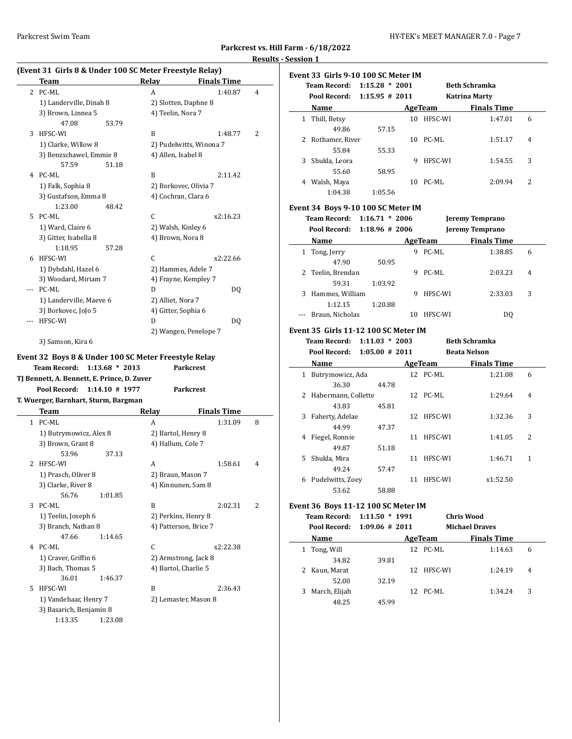**Parkcrest vs. Hill Farm - 6/18/2022 Results - Session 1**

# **(Event 31 Girls 8 & Under 100 SC Meter Freestyle Relay)**

|     | Team                                                                                             |                   | <b>Relay</b> | <b>Finals Time</b>                        |   |
|-----|--------------------------------------------------------------------------------------------------|-------------------|--------------|-------------------------------------------|---|
|     | 2 PC-ML                                                                                          |                   | A            | 1:40.87                                   | 4 |
|     | 1) Landerville, Dinah 8                                                                          |                   |              | 2) Slotten, Daphne 8                      |   |
|     | 3) Brown, Linnea 5                                                                               |                   |              | 4) Teelin, Nora 7                         |   |
|     | 47.08                                                                                            | 53.79             |              |                                           |   |
| 3   | HFSC-WI                                                                                          |                   | B            | 1:48.77                                   | 2 |
|     | 1) Clarke, Willow 8                                                                              |                   |              | 2) Pudelwitts, Winona 7                   |   |
|     | 3) Benzschawel, Emmie 8                                                                          |                   |              | 4) Allen, Isabel 8                        |   |
|     | 57.59                                                                                            | 51.18             |              |                                           |   |
| 4   | PC-ML                                                                                            |                   | B            | 2:11.42                                   |   |
|     | 1) Falk, Sophia 8                                                                                |                   |              | 2) Borkovec, Olivia 7                     |   |
|     | 3) Gustafson, Emma 8                                                                             |                   |              | 4) Cochran, Clara 6                       |   |
|     | 1:23.00                                                                                          | 48.42             |              |                                           |   |
| 5   | PC-ML                                                                                            |                   | С            | x2:16.23                                  |   |
|     | 1) Ward, Claire 6                                                                                |                   |              | 2) Walsh, Kinley 6                        |   |
|     | 3) Gitter, Isabella 8                                                                            |                   |              | 4) Brown, Nora 8                          |   |
|     | 1:18.95                                                                                          | 57.28             |              |                                           |   |
| 6   | HFSC-WI                                                                                          |                   | C            | x2:22.66                                  |   |
|     | 1) Dybdahl, Hazel 6                                                                              |                   |              | 2) Hammes, Adele 7                        |   |
|     | 3) Woodard, Miriam 7                                                                             |                   |              | 4) Frayne, Kempley 7                      |   |
| --- | PC-ML                                                                                            |                   | D            | DQ                                        |   |
|     | 1) Landerville, Maeve 6                                                                          |                   |              | 2) Alliet, Nora 7                         |   |
|     | 3) Borkovec, JoJo 5                                                                              |                   |              | 4) Gitter, Sophia 6                       |   |
|     | HFSC-WI                                                                                          |                   | D            | DQ                                        |   |
|     |                                                                                                  |                   |              |                                           |   |
|     |                                                                                                  |                   |              |                                           |   |
|     | 3) Samson, Kira 6<br>Event 32 Boys 8 & Under 100 SC Meter Freestyle Relay<br><b>Team Record:</b> | $1:13.68 * 2013$  |              | 2) Wangen, Penelope 7<br><b>Parkcrest</b> |   |
|     | TJ Bennett, A. Bennett, E. Prince, D. Zuver<br>Pool Record:                                      | $1:14.10 \# 1977$ |              | <b>Parkcrest</b>                          |   |
|     | T. Wuerger, Barnhart, Sturm, Bargman                                                             |                   |              |                                           |   |
|     | Team                                                                                             |                   | Relay        | <b>Finals Time</b>                        |   |
|     | 1 PC-ML                                                                                          |                   | A            | 1:31.09                                   | 8 |
|     | 1) Butrymowicz, Alex 8                                                                           |                   |              | 2) Bartol, Henry 8                        |   |
|     | 3) Brown, Grant 8                                                                                |                   |              | 4) Hallum, Cole 7                         |   |
|     | 53.96                                                                                            | 37.13             |              |                                           |   |
| 2   | HFSC-WI                                                                                          |                   | A            | 1:58.61                                   | 4 |
|     | 1) Prasch, Oliver 8                                                                              |                   |              | 2) Braun, Mason 7                         |   |
|     | 3) Clarke, River 8                                                                               |                   |              | 4) Kinnunen, Sam 8                        |   |
|     | 56.76                                                                                            | 1:01.85           |              |                                           |   |
| 3   | PC-ML                                                                                            |                   | B            | 2:02.31                                   | 2 |
|     | 1) Teelin, Joseph 6                                                                              |                   |              | 2) Perkins, Henry 8                       |   |
|     | 3) Branch, Nathan 8                                                                              |                   |              | 4) Patterson, Brice 7                     |   |
|     | 47.66                                                                                            | 1:14.65           |              |                                           |   |
|     | 4 PC-ML                                                                                          |                   | С            | x2:22.38                                  |   |
|     | 1) Craver, Griffin 6                                                                             |                   |              | 2) Armstrong, Jack 8                      |   |
|     | 3) Bach, Thomas 5                                                                                |                   |              | 4) Bartol, Charlie 5                      |   |
|     | 36.01                                                                                            | 1:46.37           |              |                                           |   |
| 5   | HFSC-WI                                                                                          |                   | B            | 2:36.43                                   |   |
|     | 1) Vandehaar, Henry 7                                                                            |                   |              | 2) Lemaster, Mason 8                      |   |
|     | 3) Basarich, Benjamin 8                                                                          |                   |              |                                           |   |

|     | Event 33  Girls 9-10 100 SC Meter IM     |                    |   |            |                          |   |
|-----|------------------------------------------|--------------------|---|------------|--------------------------|---|
|     | Team Record: 1:15.28 * 2001              |                    |   |            | <b>Beth Schramka</b>     |   |
|     | Pool Record:                             | $1:15.95 \# 2011$  |   |            | <b>Katrina Marty</b>     |   |
|     | Name                                     |                    |   |            | AgeTeam Finals Time      |   |
|     | 1 Thill, Betsy                           |                    |   | 10 HFSC-WI | 1:47.01                  | 6 |
|     | 49.86                                    | 57.15              |   |            |                          |   |
|     | 2 Rothamer, River                        |                    |   | 10 PC-ML   | 1:51.17                  | 4 |
|     | 55.84                                    | 55.33              |   |            |                          |   |
|     | 3 Shukla, Leora                          |                    | 9 | HFSC-WI    | 1:54.55                  | 3 |
|     | 55.60                                    | 58.95              |   |            |                          |   |
|     | 4 Walsh, Maya                            |                    |   | 10 PC-ML   | 2:09.94                  | 2 |
|     | 1:04.38                                  | 1:05.56            |   |            |                          |   |
|     | Event 34 Boys 9-10 100 SC Meter IM       |                    |   |            |                          |   |
|     | Team Record: 1:16.71 * 2006              |                    |   |            | Jeremy Temprano          |   |
|     | Pool Record:                             | $1:18.96 \# 2006$  |   |            | Jeremy Temprano          |   |
|     | <b>Name</b>                              |                    |   | AgeTeam    | <b>Finals Time</b>       |   |
|     |                                          |                    |   | 9 PC-ML    | 1:38.85                  | 6 |
|     | 1 Tong, Jerry<br>47.90                   | 50.95              |   |            |                          |   |
|     | $\mathbf{2}^{\prime}$<br>Teelin, Brendan |                    | 9 | PC-ML      | 2:03.23                  | 4 |
|     | 59.31                                    | 1:03.92            |   |            |                          |   |
|     | 3<br>Hammes, William                     |                    | 9 | HFSC-WI    | 2:33.03                  | 3 |
|     | 1:12.15                                  | 1:20.88            |   |            |                          |   |
| --- | Braun, Nicholas                          |                    |   | 10 HFSC-WI | DQ                       |   |
|     |                                          |                    |   |            |                          |   |
|     | Event 35  Girls 11-12 100 SC Meter IM    |                    |   |            |                          |   |
|     | Team Record: 1:11.03 * 2003              |                    |   |            | <b>Beth Schramka</b>     |   |
|     | Pool Record:                             | $1:05.00 \# 2011$  |   |            | <b>Beata Nelson</b>      |   |
|     |                                          |                    |   |            | Name AgeTeam Finals Time |   |
|     | 1 Butrymowicz, Ada                       |                    |   | 12 PC-ML   | 1:21.08                  | 6 |
|     | 36.30                                    | 44.78              |   |            |                          |   |
|     | 2 Habermann, Collette                    |                    |   | 12 PC-ML   | 1:29.64                  | 4 |
|     | 43.83                                    | 45.81              |   |            |                          |   |
|     | 3<br>Faherty, Adelae                     |                    |   | 12 HFSC-WI | 1:32.36                  | 3 |
|     | 44.99                                    | 47.37              |   |            |                          |   |
|     | 4 Fiegel, Ronnie                         |                    |   | 11 HFSC-WI | 1:41.05                  | 2 |
|     | 49.87                                    | 51.18              |   |            |                          |   |
|     | Shukla, Mira<br>5.                       |                    |   | 11 HFSC-WI | 1:46.71                  | 1 |
|     | 49.24                                    | 57.47              |   |            |                          |   |
|     | 6 Pudelwitts, Zoey                       |                    |   | 11 HFSC-WI | x1:52.50                 |   |
|     | 53.62                                    | 58.88              |   |            |                          |   |
|     | Event 36 Boys 11-12 100 SC Meter IM      |                    |   |            |                          |   |
|     | <b>Team Record:</b>                      | $1:11.50 * 1991$   |   |            | <b>Chris Wood</b>        |   |
|     | Pool Record:                             | $1:09.06 \pm 2011$ |   |            | <b>Michael Draves</b>    |   |
|     | <b>Name</b>                              |                    |   |            | AgeTeam Finals Time      |   |
|     | 1 Tong, Will                             |                    |   | 12 PC-ML   | 1:14.63                  | 6 |
|     | 34.82                                    | 39.81              |   |            |                          |   |
|     | 2<br>Kaun, Marat                         |                    |   | 12 HFSC-WI | 1:24.19                  | 4 |
|     | 52.00                                    | 32.19              |   |            |                          |   |
|     | 3 March, Elijah                          |                    |   | 12 PC-ML   | 1:34.24                  | 3 |
|     | 48.25                                    | 45.99              |   |            |                          |   |
|     |                                          |                    |   |            |                          |   |
|     |                                          |                    |   |            |                          |   |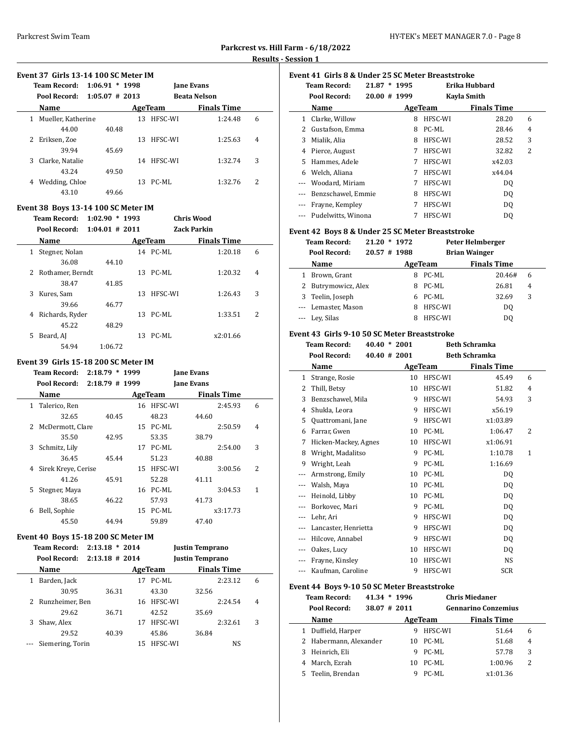|                         | . |
|-------------------------|---|
| . Hill Farm - 6/18/2022 |   |

# **Parkcrest vs. Results - Session 1**

# **Event 37 Girls 13-14 100 SC Meter IM**

|    | <b>Team Record:</b> | $1:06.91 * 1998$  |    |          | <b>Jane Evans</b>   |   |  |  |  |
|----|---------------------|-------------------|----|----------|---------------------|---|--|--|--|
|    | Pool Record:        | $1:05.07 \# 2013$ |    |          | <b>Beata Nelson</b> |   |  |  |  |
|    | Name                |                   |    | AgeTeam  | <b>Finals Time</b>  |   |  |  |  |
| 1  | Mueller, Katherine  |                   | 13 | HFSC-WI  | 1:24.48             | 6 |  |  |  |
|    | 44.00               | 40.48             |    |          |                     |   |  |  |  |
| 2  | Eriksen, Zoe        |                   | 13 | HFSC-WI  | 1:25.63             | 4 |  |  |  |
|    | 39.94               | 45.69             |    |          |                     |   |  |  |  |
| 3. | Clarke, Natalie     |                   | 14 | HFSC-WI  | 1:32.74             | 3 |  |  |  |
|    | 43.24               | 49.50             |    |          |                     |   |  |  |  |
| 4  | Wedding, Chloe      |                   |    | 13 PC-ML | 1:32.76             | 2 |  |  |  |
|    | 43.10               | 49.66             |    |          |                     |   |  |  |  |

# **Event 38 Boys 13-14 100 SC Meter IM**

|    | <b>Team Record:</b> | 1:02.90           | $*1993$ |          | <b>Chris Wood</b>  |   |
|----|---------------------|-------------------|---------|----------|--------------------|---|
|    | Pool Record:        | $1:04.01 \# 2011$ |         |          | <b>Zack Parkin</b> |   |
|    | Name                |                   |         | AgeTeam  | <b>Finals Time</b> |   |
| 1  | Stegner, Nolan      |                   |         | 14 PC-ML | 1:20.18            | 6 |
|    | 36.08               | 44.10             |         |          |                    |   |
|    | 2 Rothamer, Berndt  |                   |         | 13 PC-ML | 1:20.32            | 4 |
|    | 38.47               | 41.85             |         |          |                    |   |
| 3  | Kures, Sam          |                   | 13      | HFSC-WI  | 1:26.43            | 3 |
|    | 39.66               | 46.77             |         |          |                    |   |
| 4  | Richards, Ryder     |                   | 13      | PC-ML    | 1:33.51            | 2 |
|    | 45.22               | 48.29             |         |          |                    |   |
| 5. | Beard, AJ           |                   | 13      | PC-ML    | x2:01.66           |   |
|    | 54.94               | 1:06.72           |         |          |                    |   |

#### **Event 39 Girls 15-18 200 SC Meter IM**

|   | Team Record:        | $2:18.79 * 1999$ |         |            | <b>Jane Evans</b>  |   |
|---|---------------------|------------------|---------|------------|--------------------|---|
|   | Pool Record:        | $2:18.79$ # 1999 |         |            | <b>Jane Evans</b>  |   |
|   | Name                |                  | AgeTeam |            | <b>Finals Time</b> |   |
| 1 | Talerico, Ren       |                  |         | 16 HFSC-WI | 2:45.93            | 6 |
|   | 32.65               | 40.45            |         | 48.23      | 44.60              |   |
| 2 | McDermott, Clare    |                  |         | 15 PC-ML   | 2:50.59            | 4 |
|   | 35.50               | 42.95            |         | 53.35      | 38.79              |   |
| 3 | Schmitz, Lily       |                  | 17      | PC-ML      | 2:54.00            | 3 |
|   | 36.45               | 45.44            |         | 51.23      | 40.88              |   |
| 4 | Sirek Kreye, Cerise |                  | 15      | HFSC-WI    | 3:00.56            | 2 |
|   | 41.26               | 45.91            |         | 52.28      | 41.11              |   |
| 5 | Stegner, Maya       |                  | 16      | PC-ML      | 3:04.53            | 1 |
|   | 38.65               | 46.22            |         | 57.93      | 41.73              |   |
| 6 | Bell, Sophie        |                  |         | 15 PC-ML   | x3:17.73           |   |
|   | 45.50               | 44.94            |         | 59.89      | 47.40              |   |
|   |                     |                  |         |            |                    |   |

#### **Event 40 Boys 15-18 200 SC Meter IM**

|   | <b>Team Record:</b> | $2:13.18 * 2014$  |    |         | <b>Justin Temprano</b> |   |
|---|---------------------|-------------------|----|---------|------------------------|---|
|   | Pool Record:        | $2:13.18 \# 2014$ |    |         | <b>Justin Temprano</b> |   |
|   | Name                |                   |    | AgeTeam | <b>Finals Time</b>     |   |
| 1 | Barden, Jack        |                   | 17 | PC-ML   | 2:23.12                | 6 |
|   | 30.95               | 36.31             |    | 43.30   | 32.56                  |   |
|   | 2 Runzheimer, Ben   |                   | 16 | HFSC-WI | 2:24.54                | 4 |
|   | 29.62               | 36.71             |    | 42.52   | 35.69                  |   |
| 3 | Shaw, Alex          |                   | 17 | HFSC-WI | 2:32.61                | 3 |
|   | 29.52               | 40.39             |    | 45.86   | 36.84                  |   |
|   | Siemering, Torin    |                   | 15 | HFSC-WI | NS                     |   |

| Event 41 Girls 8 & Under 25 SC Meter Breaststroke |                     |                |         |                    |   |  |  |  |  |  |
|---------------------------------------------------|---------------------|----------------|---------|--------------------|---|--|--|--|--|--|
|                                                   | <b>Team Record:</b> | $21.87 * 1995$ |         | Erika Hubbard      |   |  |  |  |  |  |
|                                                   | Pool Record:        | 20.00 # 1999   |         | Kayla Smith        |   |  |  |  |  |  |
|                                                   | Name                |                | AgeTeam | <b>Finals Time</b> |   |  |  |  |  |  |
| 1                                                 | Clarke, Willow      | 8              | HFSC-WI | 28.20              | 6 |  |  |  |  |  |
| 2                                                 | Gustafson, Emma     | 8              | PC-ML   | 28.46              | 4 |  |  |  |  |  |
| 3                                                 | Mialik, Alia        | 8              | HFSC-WI | 28.52              | 3 |  |  |  |  |  |
| 4                                                 | Pierce, August      | 7              | HFSC-WI | 32.82              | 2 |  |  |  |  |  |
| 5.                                                | Hammes, Adele       | 7              | HFSC-WI | x42.03             |   |  |  |  |  |  |
| 6                                                 | Welch, Aliana       | 7              | HFSC-WI | x44.04             |   |  |  |  |  |  |
|                                                   | Woodard, Miriam     | 7              | HFSC-WI | DO.                |   |  |  |  |  |  |
|                                                   | Benzschawel, Emmie  | 8              | HFSC-WI | DO.                |   |  |  |  |  |  |
|                                                   | Frayne, Kempley     | 7              | HFSC-WI | DQ                 |   |  |  |  |  |  |
|                                                   | Pudelwitts, Winona  | 7              | HFSC-WI | DO.                |   |  |  |  |  |  |

## **Event 42 Boys 8 & Under 25 SC Meter Breaststroke**

**Team Record: 21.20 \* 1972 Peter Helmberger Pool Record: 20.57 # 1988 Brian Wainger**

| ruul netulu:<br>40.J/ # 1700 |    |         | DI IAII WAIIIgel   |   |  |
|------------------------------|----|---------|--------------------|---|--|
| Name                         |    | AgeTeam | <b>Finals Time</b> |   |  |
| Brown, Grant                 |    | PC-ML   | 20.46#             | 6 |  |
| 2 Butrymowicz, Alex          | 8. | PC-ML   | 26.81              | 4 |  |
| 3 Teelin, Joseph             |    | 6 PC-ML | 32.69              | 3 |  |
| --- Lemaster, Mason          | 8  | HFSC-WI | DO                 |   |  |
| --- Ley, Silas               |    | HFSC-WI | DO.                |   |  |

# **Event 43 Girls 9-10 50 SC Meter Breaststroke**

|                | <b>Team Record:</b>  |  | $40.40 * 2001$   |         | <b>Beth Schramka</b> |   |
|----------------|----------------------|--|------------------|---------|----------------------|---|
|                | Pool Record:         |  | $40.40 \pm 2001$ |         | <b>Beth Schramka</b> |   |
|                | Name                 |  |                  | AgeTeam | <b>Finals Time</b>   |   |
| 1              | Strange, Rosie       |  | 10               | HFSC-WI | 45.49                | 6 |
| 2              | Thill, Betsy         |  | 10               | HFSC-WI | 51.82                | 4 |
| 3              | Benzschawel, Mila    |  | 9                | HFSC-WI | 54.93                | 3 |
| $\overline{4}$ | Shukla, Leora        |  | 9                | HFSC-WI | x56.19               |   |
| 5              | Quattromani, Jane    |  | 9                | HFSC-WI | x1:03.89             |   |
| 6              | Farrar, Gwen         |  | 10               | PC-ML   | 1:06.47              | 2 |
| 7              | Hicken-Mackey, Agnes |  | 10               | HFSC-WI | x1:06.91             |   |
| 8              | Wright, Madalitso    |  | 9                | PC-ML   | 1:10.78              | 1 |
| 9              | Wright, Leah         |  | 9                | PC-ML   | 1:16.69              |   |
| $---$          | Armstrong, Emily     |  | 10               | PC-ML   | DQ                   |   |
| ---            | Walsh, Maya          |  | 10               | PC-ML   | DQ                   |   |
| $---$          | Heinold, Libby       |  | 10               | PC-ML   | DQ                   |   |
| ---            | Borkovec, Mari       |  | 9                | PC-ML   | DQ                   |   |
| ---            | Lehr, Ari            |  | 9                | HFSC-WI | DQ                   |   |
| $---$          | Lancaster, Henrietta |  | 9                | HFSC-WI | DQ                   |   |
| $---$          | Hilcove, Annabel     |  | 9                | HFSC-WI | DQ                   |   |
| ---            | Oakes, Lucy          |  | 10               | HFSC-WI | DQ                   |   |
|                | Frayne, Kinsley      |  | 10               | HFSC-WI | NS                   |   |
| $- - -$        | Kaufman, Caroline    |  | 9                | HFSC-WI | <b>SCR</b>           |   |

# **Event 44 Boys 9-10 50 SC Meter Breaststroke**

|    | <b>Team Record:</b>    | $41.34 * 1996$ |    |         | <b>Chris Miedaner</b>      |   |
|----|------------------------|----------------|----|---------|----------------------------|---|
|    | Pool Record:           | 38.07 # 2011   |    |         | <b>Gennarino Conzemius</b> |   |
|    | Name                   |                |    | AgeTeam | <b>Finals Time</b>         |   |
|    | Duffield, Harper       |                | 9  | HFSC-WI | 51.64                      | 6 |
|    | 2 Habermann, Alexander |                | 10 | PC-ML   | 51.68                      | 4 |
| 3  | Heinrich, Eli          |                | 9  | PC-ML   | 57.78                      | 3 |
|    | March, Ezrah           |                | 10 | PC-ML   | 1:00.96                    | 2 |
| 5. | Teelin, Brendan        |                | g  | PC-ML   | x1:01.36                   |   |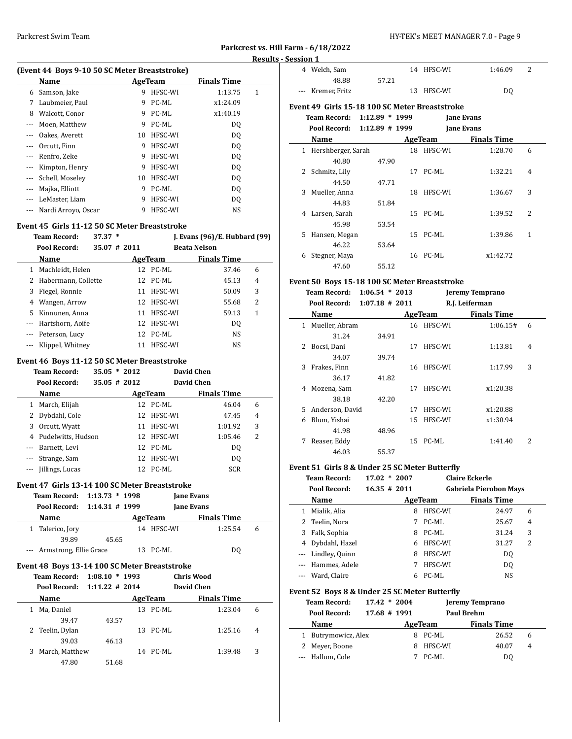## Parkcrest Swim Team HY-TEK's MEET MANAGER 7.0 - Page 9

# **Parkcrest vs. Hill Farm - 6/18/2022 Results - Session 1**

 $\frac{1}{2}$ 

 $\overline{\phantom{a}}$ 

|   |                                               |    |         |                    | Res |
|---|-----------------------------------------------|----|---------|--------------------|-----|
|   | (Event 44 Boys 9-10 50 SC Meter Breaststroke) |    |         |                    |     |
|   | Name                                          |    | AgeTeam | <b>Finals Time</b> |     |
| 6 | Samson, Jake                                  | 9  | HFSC-WI | 1:13.75            | 1   |
| 7 | Laubmeier, Paul                               | 9  | PC-ML   | x1:24.09           |     |
| 8 | Walcott, Conor                                | 9  | PC-ML   | x1:40.19           |     |
|   | Moen, Matthew                                 | 9  | PC-ML   | DO.                |     |
|   | Oakes, Averett                                | 10 | HFSC-WI | DO.                |     |
|   | Orcutt, Finn                                  | 9  | HFSC-WI | DO.                |     |
|   | Renfro, Zeke                                  | 9  | HFSC-WI | DO.                |     |
|   | Kimpton, Henry                                | 9  | HFSC-WI | DO.                |     |
|   | Schell, Moselev                               | 10 | HFSC-WI | DO.                |     |
|   | Majka, Elliott                                | 9  | PC-ML   | DO.                |     |
|   | LeMaster, Liam                                | 9  | HFSC-WI | DO                 |     |
|   | Nardi Arroyo, Oscar                           | 9  | HFSC-WI | NS                 |     |

#### **Event 45 Girls 11-12 50 SC Meter Breaststroke**

|          | <b>Team Record:</b>   | 37.37 | ∗                |          | J. Evans $(96)/E$ . Hubbard $(99)$ |   |
|----------|-----------------------|-------|------------------|----------|------------------------------------|---|
|          | Pool Record:          |       | $35.07 \pm 2011$ |          | <b>Beata Nelson</b>                |   |
|          | <b>Name</b>           |       |                  | AgeTeam  | <b>Finals Time</b>                 |   |
| 1        | Machleidt, Helen      |       |                  | 12 PC-ML | 37.46                              | 6 |
|          | 2 Habermann, Collette |       |                  | 12 PC-ML | 45.13                              | 4 |
| 3        | Fiegel, Ronnie        |       | 11               | HFSC-WI  | 50.09                              | 3 |
| 4        | Wangen, Arrow         |       | 12               | HFSC-WI  | 55.68                              | 2 |
| 5.       | Kinnunen. Anna        |       | 11               | HFSC-WI  | 59.13                              | 1 |
|          | --- Hartshorn, Aoife  |       | 12.              | HFSC-WI  | DO.                                |   |
| $\cdots$ | Peterson, Lucy        |       |                  | 12 PC-ML | NS                                 |   |
|          | Klippel, Whitney      |       | 11               | HFSC-WI  | NS                                 |   |

#### **Event 46 Boys 11-12 50 SC Meter Breaststroke**

|          | <b>Team Record:</b> | $35.05 * 2012$ |    |          | David Chen         |   |  |
|----------|---------------------|----------------|----|----------|--------------------|---|--|
|          | Pool Record:        | 35.05 # 2012   |    |          | David Chen         |   |  |
|          | Name                |                |    | AgeTeam  | <b>Finals Time</b> |   |  |
| 1        | March, Elijah       |                |    | 12 PC-ML | 46.04              | 6 |  |
| 2        | Dybdahl, Cole       |                | 12 | HFSC-WI  | 47.45              | 4 |  |
| 3        | Orcutt, Wyatt       |                | 11 | HFSC-WI  | 1:01.92            | 3 |  |
| 4        | Pudelwitts, Hudson  |                | 12 | HFSC-WI  | 1:05.46            | 2 |  |
| $\cdots$ | Barnett, Levi       |                |    | 12 PC-ML | D <sub>0</sub>     |   |  |
| $\cdots$ | Strange, Sam        |                | 12 | HFSC-WI  | D <sub>0</sub>     |   |  |
| $---$    | Jillings, Lucas     |                | 12 | PC-ML    | <b>SCR</b>         |   |  |

# **Event 47 Girls 13-14 100 SC Meter Breaststroke**

| Team Record: 1:13.73 * 1998 |       |            | <b>Jane Evans</b>  |   |
|-----------------------------|-------|------------|--------------------|---|
| Pool Record: 1:14.31 # 1999 |       |            | <b>Jane Evans</b>  |   |
| <b>Name</b>                 |       | AgeTeam    | <b>Finals Time</b> |   |
| 1 Talerico, Jory            |       | 14 HFSC-WI | 1:25.54            | 6 |
| 39.89                       | 45.65 |            |                    |   |
| --- Armstrong, Ellie Grace  |       | 13 PC-ML   | DO                 |   |

# **Event 48 Boys 13-14 100 SC Meter Breaststroke**

|   | <b>Team Record:</b> | $1:08.10 * 1993$  |          | <b>Chris Wood</b>  |   |  |
|---|---------------------|-------------------|----------|--------------------|---|--|
|   | Pool Record:        | $1:11.22 \# 2014$ |          | David Chen         |   |  |
|   | Name                |                   | AgeTeam  | <b>Finals Time</b> |   |  |
|   | Ma, Daniel          |                   | 13 PC-ML | 1:23.04            | 6 |  |
|   | 39.47               | 43.57             |          |                    |   |  |
|   | 2 Teelin, Dylan     |                   | 13 PC-ML | 1:25.16            | 4 |  |
|   | 39.03               | 46.13             |          |                    |   |  |
| 3 | March, Matthew      |                   | 14 PC-ML | 1:39.48            | 3 |  |
|   | 47.80               | 51.68             |          |                    |   |  |

| 4 Welch, Sam      |       | 14 HFSC-WI | 1:46.09 |  |
|-------------------|-------|------------|---------|--|
| 48.88             | 57.21 |            |         |  |
| --- Kremer, Fritz |       | 13 HFSC-WI | DO      |  |
|                   |       |            |         |  |

# **Event 49 Girls 15-18 100 SC Meter Breaststroke**

# **Team Record: 1:12.89 \* 1999 Jane Evans Pool Record: 1:12.89 # 1999 Jane Evans**

| . vv. necv. u.                     | 1.14.0 <i>)</i> = 1 <i>.111</i> |    |          | janë Lyano         |                |
|------------------------------------|---------------------------------|----|----------|--------------------|----------------|
| Name                               |                                 |    | AgeTeam  | <b>Finals Time</b> |                |
| Hershberger, Sarah<br>$\mathbf{1}$ |                                 | 18 | HFSC-WI  | 1:28.70            | 6              |
| 40.80                              | 47.90                           |    |          |                    |                |
| 2 Schmitz, Lily                    |                                 |    | 17 PC-ML | 1:32.21            | $\overline{4}$ |
| 44.50                              | 47.71                           |    |          |                    |                |
| 3 Mueller, Anna                    |                                 | 18 | HFSC-WI  | 1:36.67            | 3              |
| 44.83                              | 51.84                           |    |          |                    |                |
| Larsen, Sarah<br>4                 |                                 |    | 15 PC-ML | 1:39.52            | 2              |
| 45.98                              | 53.54                           |    |          |                    |                |
| Hansen, Megan<br>5.                |                                 |    | 15 PC-ML | 1:39.86            | 1              |
| 46.22                              | 53.64                           |    |          |                    |                |
| Stegner, Maya<br>6                 |                                 |    | 16 PC-ML | x1:42.72           |                |
| 47.60                              | 55.12                           |    |          |                    |                |

# **Event 50 Boys 15-18 100 SC Meter Breaststroke**

|   | <b>Team Record:</b><br>Pool Record: | $1:06.54 * 2013$<br>$1:07.18 \# 2011$ |    |            | <b>Jeremy Temprano</b><br>R.J. Leiferman |   |  |
|---|-------------------------------------|---------------------------------------|----|------------|------------------------------------------|---|--|
|   | Name                                |                                       |    | AgeTeam    | <b>Finals Time</b>                       |   |  |
| 1 | Mueller, Abram                      |                                       |    | 16 HFSC-WI | 1:06.15#                                 | 6 |  |
|   | 31.24                               | 34.91                                 |    |            |                                          |   |  |
| 2 | Bocsi, Dani                         |                                       | 17 | HFSC-WI    | 1:13.81                                  | 4 |  |
|   | 34.07                               | 39.74                                 |    |            |                                          |   |  |
| 3 | Frakes, Finn                        |                                       | 16 | HFSC-WI    | 1:17.99                                  | 3 |  |
|   | 36.17                               | 41.82                                 |    |            |                                          |   |  |
| 4 | Mozena, Sam                         |                                       | 17 | HFSC-WI    | x1:20.38                                 |   |  |
|   | 38.18                               | 42.20                                 |    |            |                                          |   |  |
| 5 | Anderson, David                     |                                       | 17 | HFSC-WI    | x1:20.88                                 |   |  |
| 6 | Blum, Yishai                        |                                       | 15 | HFSC-WI    | x1:30.94                                 |   |  |
|   | 41.98                               | 48.96                                 |    |            |                                          |   |  |
| 7 | Reaser, Eddy                        |                                       | 15 | PC-ML      | 1:41.40                                  | 2 |  |
|   | 46.03                               | 55.37                                 |    |            |                                          |   |  |

#### **Event 51 Girls 8 & Under 25 SC Meter Butterfly**

|   | <b>Team Record:</b> | $17.02 * 2007$   |         | <b>Claire Eckerle</b>         |   |
|---|---------------------|------------------|---------|-------------------------------|---|
|   | Pool Record:        | $16.35 \pm 2011$ |         | <b>Gabriela Pierobon Mays</b> |   |
|   | Name                |                  | AgeTeam | <b>Finals Time</b>            |   |
|   | Mialik, Alia        | 8                | HFSC-WI | 24.97                         | 6 |
|   | 2 Teelin, Nora      | 7                | PC-ML   | 25.67                         | 4 |
| 3 | Falk, Sophia        | 8                | PC-ML   | 31.24                         | 3 |
|   | Dybdahl, Hazel      | 6                | HFSC-WI | 31.27                         | 2 |
|   | --- Lindley, Quinn  | 8                | HFSC-WI | D <sub>0</sub>                |   |
|   | --- Hammes, Adele   | 7                | HFSC-WI | DO.                           |   |
|   | --- Ward, Claire    |                  | PC-ML   | NS                            |   |

#### **Event 52 Boys 8 & Under 25 SC Meter Butterfly**

| <b>Team Record:</b> | $17.42 * 2004$ |         | <b>Jeremy Temprano</b> |   |
|---------------------|----------------|---------|------------------------|---|
| Pool Record:        | 17.68 # 1991   |         | <b>Paul Brehm</b>      |   |
| Name                |                | AgeTeam | <b>Finals Time</b>     |   |
| 1 Butrymowicz, Alex |                | 8 PC-ML | 26.52                  | 6 |
| 2 Meyer, Boone      |                | HFSC-WI | 40.07                  | 4 |
| --- Hallum, Cole    |                | PC-ML   | DO                     |   |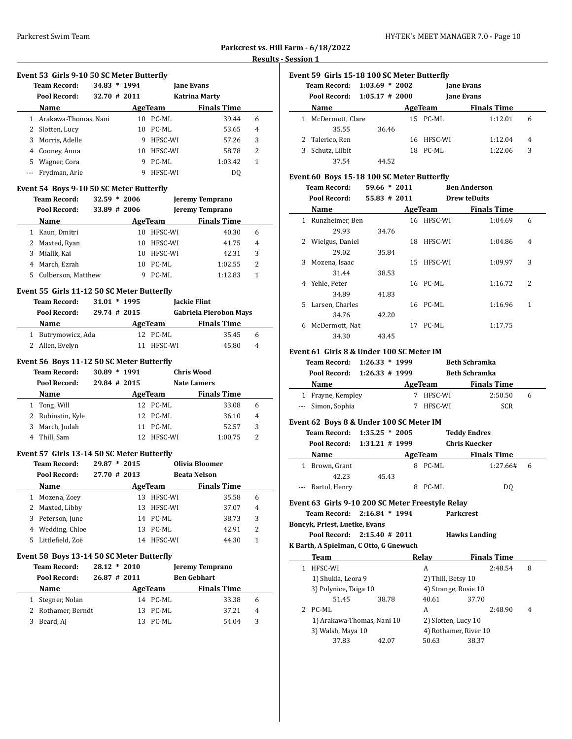| Parkcrest vs. Hill Farm - 6/18/2022 |
|-------------------------------------|
| <b>Results - Session 1</b>          |

 $\overline{a}$ 

# **Event 53 Girls 9-10 50 SC Meter Butterfly**

|    | <b>Team Record:</b><br>Pool Record: | 34.83<br>32.70 # 2011 | $* 1994$ |         | <b>Jane Evans</b><br>Katrina Marty |   |  |
|----|-------------------------------------|-----------------------|----------|---------|------------------------------------|---|--|
|    | Name                                |                       |          | AgeTeam | <b>Finals Time</b>                 |   |  |
|    | Arakawa-Thomas, Nani                |                       | 10       | PC-ML   | 39.44                              | 6 |  |
|    | Slotten, Lucy<br>2                  |                       | 10       | PC-ML   | 53.65                              | 4 |  |
|    | Morris, Adelle<br>3                 |                       | 9        | HFSC-WI | 57.26                              | 3 |  |
|    | Cooney, Anna<br>4                   |                       | 10       | HFSC-WI | 58.78                              | 2 |  |
| 5. | Wagner, Cora                        |                       | 9        | PC-ML   | 1:03.42                            | 1 |  |
|    | Frydman, Arie                       |                       | 9        | HFSC-WI | DO                                 |   |  |

#### **Event 54 Boys 9-10 50 SC Meter Butterfly**

|    | <b>Team Record:</b><br>Pool Record: | 32.59<br>$*2006$<br>33.89 # 2006 |         | <b>Jeremy Temprano</b><br><b>Jeremy Temprano</b> |   |
|----|-------------------------------------|----------------------------------|---------|--------------------------------------------------|---|
|    | Name                                |                                  | AgeTeam | <b>Finals Time</b>                               |   |
|    | Kaun, Dmitri                        | 10                               | HFSC-WI | 40.30                                            | 6 |
| 2  | Maxted, Ryan                        | 10                               | HFSC-WI | 41.75                                            | 4 |
| 3  | Mialik, Kai                         | 10                               | HFSC-WI | 42.31                                            | 3 |
| 4  | March, Ezrah                        | 10                               | PC-ML   | 1:02.55                                          | 2 |
| 5. | Culberson, Matthew                  |                                  | PC-ML   | 1:12.83                                          |   |

#### **Event 55 Girls 11-12 50 SC Meter Butterfly**

| <b>Team Record:</b> | $31.01 * 1995$ |            | <b>Jackie Flint</b>           |   |
|---------------------|----------------|------------|-------------------------------|---|
| Pool Record:        | $29.74$ # 2015 |            | <b>Gabriela Pierobon Mays</b> |   |
| <b>Name</b>         |                | AgeTeam    | <b>Finals Time</b>            |   |
| 1 Butrymowicz, Ada  |                | 12 PC-ML   | 35.45                         | 6 |
| 2 Allen, Evelyn     |                | 11 HFSC-WI | 45.80                         | 4 |

#### **Event 56 Boys 11-12 50 SC Meter Butterfly**

|    | <b>Team Record:</b> | 30.89          | $*1991$ |          | Chris Wood         |   |  |
|----|---------------------|----------------|---------|----------|--------------------|---|--|
|    | Pool Record:        | $29.84$ # 2015 |         |          | <b>Nate Lamers</b> |   |  |
|    | <b>Name</b>         |                |         | AgeTeam  | <b>Finals Time</b> |   |  |
|    | Tong, Will          |                |         | 12 PC-ML | 33.08              | 6 |  |
|    | 2 Rubinstin, Kyle   |                |         | 12 PC-ML | 36.10              | 4 |  |
| 3. | March, Judah        |                | 11      | PC-ML    | 52.57              | 3 |  |
|    | Thill, Sam          |                | 12.     | HFSC-WI  | 1:00.75            | 2 |  |

#### **Event 57 Girls 13-14 50 SC Meter Butterfly**

|    | <b>Team Record:</b><br>Pool Record: | 29.87<br>$*2015$<br>27.70 # 2013 |         | Olivia Bloomer<br><b>Beata Nelson</b> |                |
|----|-------------------------------------|----------------------------------|---------|---------------------------------------|----------------|
|    | Name                                |                                  | AgeTeam | <b>Finals Time</b>                    |                |
|    | Mozena, Zoey                        | 13.                              | HFSC-WI | 35.58                                 | 6              |
| 2  | Maxted, Libby                       | 13                               | HFSC-WI | 37.07                                 | $\overline{4}$ |
| 3. | Peterson, June                      | 14                               | PC-ML   | 38.73                                 | 3              |
| 4  | Wedding, Chloe                      | 13.                              | PC-ML   | 42.91                                 | 2              |
| 5. | Littlefield. Zoë                    | 14                               | HFSC-WI | 44.30                                 | 1              |

#### **Event 58 Boys 13-14 50 SC Meter Butterfly**

|   | <b>Team Record:</b> | $28.12 * 2010$ |     |          | <b>Jeremy Temprano</b> |   |
|---|---------------------|----------------|-----|----------|------------------------|---|
|   | Pool Record:        | $26.87$ # 2011 |     |          | <b>Ben Gebhart</b>     |   |
|   | Name                |                |     | AgeTeam  | <b>Finals Time</b>     |   |
|   | 1 Stegner, Nolan    |                |     | 14 PC-ML | 33.38                  | 6 |
|   | 2 Rothamer, Berndt  |                |     | 13 PC-ML | 37.21                  | 4 |
| 3 | Beard, AJ           |                | 13. | PC-ML    | 54.04                  | 3 |

|    | Event 59 Girls 15-18 100 SC Meter Butterfly<br>Team Record:<br>Pool Record: 1:05.17 # 2000 | $1:03.69 * 2002$ |    |          | <b>Jane Evans</b><br><b>Jane Evans</b> |   |
|----|--------------------------------------------------------------------------------------------|------------------|----|----------|----------------------------------------|---|
|    | Name                                                                                       |                  |    | AgeTeam  | <b>Finals Time</b>                     |   |
|    | 1 McDermott, Clare                                                                         |                  |    | 15 PC-ML | 1:12.01                                | 6 |
|    | 35.55                                                                                      | 36.46            |    |          |                                        |   |
|    | 2 Talerico, Ren                                                                            |                  | 16 | HFSC-WI  | 1:12.04                                | 4 |
| 3. | Schutz, Lilbit                                                                             |                  | 18 | PC-ML    | 1:22.06                                | 3 |
|    | 37.54                                                                                      | 44.52            |    |          |                                        |   |

#### **Event 60 Boys 15-18 100 SC Meter Butterfly**

|    | <b>Team Record:</b> | $59.66 * 2011$  |    |            | <b>Ben Anderson</b> |                |  |
|----|---------------------|-----------------|----|------------|---------------------|----------------|--|
|    | Pool Record:        | $55.83 \# 2011$ |    |            | <b>Drew teDuits</b> |                |  |
|    | Name                |                 |    | AgeTeam    | <b>Finals Time</b>  |                |  |
| 1  | Runzheimer, Ben     |                 |    | 16 HFSC-WI | 1:04.69             | 6              |  |
|    | 29.93               | 34.76           |    |            |                     |                |  |
| 2  | Wielgus, Daniel     |                 | 18 | HFSC-WI    | 1:04.86             | $\overline{4}$ |  |
|    | 29.02               | 35.84           |    |            |                     |                |  |
| 3  | Mozena, Isaac       |                 | 15 | HFSC-WI    | 1:09.97             | 3              |  |
|    | 31.44               | 38.53           |    |            |                     |                |  |
| 4  | Yehle, Peter        |                 |    | 16 PC-ML   | 1:16.72             | 2              |  |
|    | 34.89               | 41.83           |    |            |                     |                |  |
| 5. | Larsen, Charles     |                 |    | 16 PC-ML   | 1:16.96             | 1              |  |
|    | 34.76               | 42.20           |    |            |                     |                |  |
| 6  | McDermott, Nat      |                 | 17 | PC-ML      | 1:17.75             |                |  |
|    | 34.30               | 43.45           |    |            |                     |                |  |

#### **Event 61 Girls 8 & Under 100 SC Meter IM**

| Team Record: 1:26.33 * 1999 |         |         | <b>Beth Schramka</b> |   |
|-----------------------------|---------|---------|----------------------|---|
| Pool Record: 1:26.33 # 1999 |         |         | <b>Beth Schramka</b> |   |
| Name                        | AgeTeam |         | <b>Finals Time</b>   |   |
| 1 Frayne, Kempley           |         | HFSC-WI | 2:50.50              | 6 |
| --- Simon, Sophia           |         | HFSC-WI | SCR                  |   |

#### **Event 62 Boys 8 & Under 100 SC Meter IM**

|                             | Team Record: 1:35.25 * 2005 |       |    |               | <b>Teddy Endres</b> |   |  |
|-----------------------------|-----------------------------|-------|----|---------------|---------------------|---|--|
| Pool Record: 1:31.21 # 1999 |                             |       |    | Chris Kuecker |                     |   |  |
|                             | Name                        |       |    | AgeTeam       | <b>Finals Time</b>  |   |  |
|                             | Brown, Grant                |       | 8. | PC-ML         | 1:27.66#            | 6 |  |
|                             | 42.23                       | 45.43 |    |               |                     |   |  |
|                             | --- Bartol, Henry           |       |    | PC-ML         | DO                  |   |  |

#### **Event 63 Girls 9-10 200 SC Meter Freestyle Relay**

**Team Record: 2:16.84 \* 1994 Parkcrest**

#### **Boncyk, Priest, Luetke, Evans Pool Record: 2:15.40 # 2011 Hawks Landing**

# **K Barth, A Spielman, C Otto, G Gnewuch**

 $\overline{\phantom{0}}$ 

| Team                       |       | Relav               |                       | <b>Finals Time</b> |   |
|----------------------------|-------|---------------------|-----------------------|--------------------|---|
| HFSC-WI                    |       | A                   |                       | 2:48.54            | 8 |
| 1) Shukla, Leora 9         |       | 2) Thill, Betsy 10  |                       |                    |   |
| 3) Polynice, Taiga 10      |       |                     | 4) Strange, Rosie 10  |                    |   |
| 51.45                      | 38.78 | 40.61               | 37.70                 |                    |   |
| 2 PC-ML                    |       | A                   |                       | 2:48.90            | 4 |
| 1) Arakawa-Thomas, Nani 10 |       | 2) Slotten, Lucy 10 |                       |                    |   |
| 3) Walsh, Maya 10          |       |                     | 4) Rothamer, River 10 |                    |   |
| 37.83                      | 42.07 | 50.63               | 38.37                 |                    |   |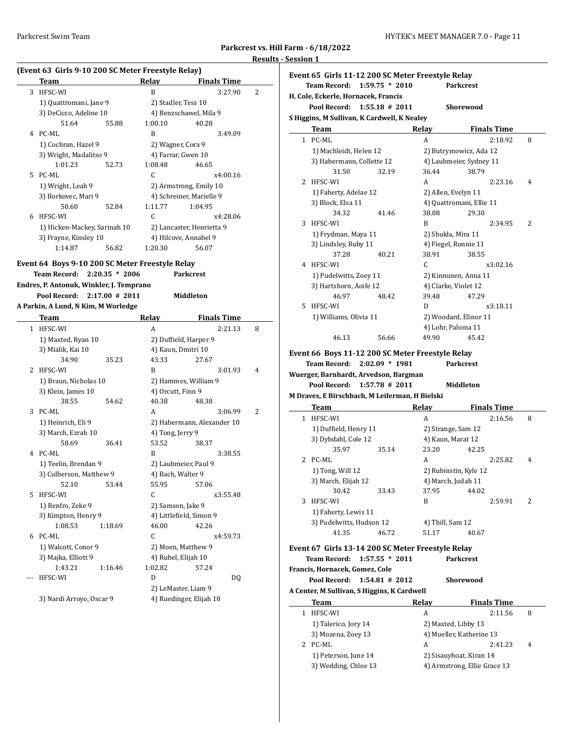$\overline{a}$ 

**Parkcrest vs. Hill Farm - 6/18/2022**

# **(Event 63 Girls 9-10 200 SC Meter Freestyle Relay)**

|    | Team                         |       | Relav                    | <b>Finals Time</b>                  |  |
|----|------------------------------|-------|--------------------------|-------------------------------------|--|
| 3  | HFSC-WI                      |       | B                        | $\overline{\mathcal{L}}$<br>3:27.90 |  |
|    | 1) Quattromani, Jane 9       |       | 2) Stadler, Tess 10      |                                     |  |
|    | 3) DeCicco, Adeline 10       |       | 4) Benzschawel, Mila 9   |                                     |  |
|    | 51.64                        | 55.88 | 1:00.10                  | 40.28                               |  |
| 4  | PC-ML                        |       | R                        | 3:49.09                             |  |
|    | 1) Cochran, Hazel 9          |       | 2) Wagner, Cora 9        |                                     |  |
|    | 3) Wright, Madalitso 9       |       | 4) Farrar, Gwen 10       |                                     |  |
|    | 1:01.23                      | 52.73 | 1:08.48                  | 46.65                               |  |
| 5. | PC-ML                        |       | C                        | x4:00.16                            |  |
|    | 1) Wright, Leah 9            |       | 2) Armstrong, Emily 10   |                                     |  |
|    | 3) Borkovec, Mari 9          |       | 4) Schreiner, Marielle 9 |                                     |  |
|    | 50.60                        | 52.84 | 1:11.77                  | 1:04.95                             |  |
| 6  | HFSC-WI                      |       | C                        | x4:28.06                            |  |
|    | 1) Hicken-Mackey, Sarinah 10 |       |                          | 2) Lancaster, Henrietta 9           |  |
|    | 3) Frayne, Kinsley 10        |       | 4) Hilcove, Annabel 9    |                                     |  |
|    | 1:14.87                      | 56.82 | 1:20.30                  | 56.07                               |  |

#### **Event 64 Boys 9-10 200 SC Meter Freestyle Relay Team Record: 2:20.35 \* 2006 Parkcrest**

**Endres, P. Antonuk, Winkler, J. Temprano**

**Pool Record: 2:17.00 # 2011 Middleton**

**A Parkin, A Lund, N Kim, M Worledge**

|              | Team                     |         | Relay               | <b>Finals Time</b>         |                |  |  |
|--------------|--------------------------|---------|---------------------|----------------------------|----------------|--|--|
| $\mathbf{1}$ | HFSC-WI                  |         | A                   | 2:21.13                    | 8              |  |  |
|              | 1) Maxted, Ryan 10       |         |                     | 2) Duffield, Harper 9      |                |  |  |
|              | 3) Mialik, Kai 10        |         | 4) Kaun, Dmitri 10  |                            |                |  |  |
|              | 34.90                    | 35.23   | 43.33               | 27.67                      |                |  |  |
| 2            | HFSC-WI                  |         | B                   | 3:01.93                    | 4              |  |  |
|              | 1) Braun, Nicholas 10    |         |                     | 2) Hammes, William 9       |                |  |  |
|              | 3) Klein, James 10       |         | 4) Orcutt, Finn 9   |                            |                |  |  |
|              | 38.55                    | 54.62   | 40.38               | 48.38                      |                |  |  |
| 3            | PC-ML                    |         | A                   | 3:06.99                    | $\overline{2}$ |  |  |
|              | 1) Heinrich, Eli 9       |         |                     | 2) Habermann, Alexander 10 |                |  |  |
|              | 3) March, Ezrah 10       |         | 4) Tong, Jerry 9    |                            |                |  |  |
|              | 58.69                    | 36.41   | 53.52               | 38.37                      |                |  |  |
| 4            | PC-ML                    |         | B                   | 3:38.55                    |                |  |  |
|              | 1) Teelin, Brendan 9     |         |                     | 2) Laubmeier, Paul 9       |                |  |  |
|              | 3) Culberson, Matthew 9  |         | 4) Bach, Walter 9   |                            |                |  |  |
|              | 52.10                    | 53.44   | 55.95               | 57.06                      |                |  |  |
| 5.           | HFSC-WI                  |         | C.                  | x3:55.48                   |                |  |  |
|              | 1) Renfro, Zeke 9        |         |                     | 2) Samson, Jake 9          |                |  |  |
|              | 3) Kimpton, Henry 9      |         |                     | 4) Littlefield, Simon 9    |                |  |  |
|              | 1:08.53                  | 1:18.69 | 46.00               | 42.26                      |                |  |  |
| 6            | PC-ML                    |         | C                   | x4:59.73                   |                |  |  |
|              | 1) Walcott, Conor 9      |         |                     | 2) Moen, Matthew 9         |                |  |  |
|              | 3) Majka, Elliott 9      |         | 4) Rubel, Elijah 10 |                            |                |  |  |
|              | 1:43.21                  | 1:16.46 | 1:02.82             | 57.24                      |                |  |  |
|              | HFSC-WI                  |         | D                   | DQ                         |                |  |  |
|              |                          |         |                     | 2) LeMaster, Liam 9        |                |  |  |
|              | 3) Nardi Arroyo, Oscar 9 |         |                     | 4) Ruedinger, Elijah 10    |                |  |  |

# **Results - Session 1**

|    |                                     | Event 65  Girls 11-12 200 SC Meter Freestyle Relay |       |                          |   |  |
|----|-------------------------------------|----------------------------------------------------|-------|--------------------------|---|--|
|    | <b>Team Record:</b>                 | $1:59.75 * 2010$                                   |       | <b>Parkcrest</b>         |   |  |
|    | H. Cole, Eckerle, Hornacek, Francis |                                                    |       |                          |   |  |
|    | Pool Record:                        | $1:55.18 \# 2011$                                  |       | <b>Shorewood</b>         |   |  |
|    |                                     | S Higgins, M Sullivan, K Cardwell, K Nealey        |       |                          |   |  |
|    | Team                                |                                                    | Relay | <b>Finals Time</b>       |   |  |
|    | 1 PC-ML                             |                                                    | A     | 2:18.92                  | 8 |  |
|    | 1) Machleidt, Helen 12              |                                                    |       | 2) Butrymowicz, Ada 12   |   |  |
|    | 3) Habermann, Collette 12           |                                                    |       | 4) Laubmeier, Sydney 11  |   |  |
|    | 31.50                               | 32.19                                              | 36.44 | 38.79                    |   |  |
| 2  | HFSC-WI                             |                                                    | A     | 2:23.16                  | 4 |  |
|    | 1) Faherty, Adelae 12               |                                                    |       | 2) Allen, Evelyn 11      |   |  |
|    | 3) Block, Elsa 11                   |                                                    |       | 4) Quattromani, Ellie 11 |   |  |
|    | 34.32                               | 41.46                                              | 38.08 | 29.30                    |   |  |
| 3  | HFSC-WI                             |                                                    | B     | 2:34.95                  | 2 |  |
|    | 1) Frydman, Maya 11                 |                                                    |       | 2) Shukla, Mira 11       |   |  |
|    | 3) Lindsley, Ruby 11                |                                                    |       | 4) Fiegel, Ronnie 11     |   |  |
|    | 37.28                               | 40.21                                              | 38.91 | 38.55                    |   |  |
| 4  | HFSC-WI                             |                                                    | C     | x3:02.16                 |   |  |
|    | 1) Pudelwitts, Zoey 11              |                                                    |       | 2) Kinnunen, Anna 11     |   |  |
|    | 3) Hartshorn, Aoife 12              |                                                    |       | 4) Clarke, Violet 12     |   |  |
|    | 46.97                               | 48.42                                              | 39.48 | 47.29                    |   |  |
| 5. | HFSC-WI                             |                                                    | D     | x3:18.11                 |   |  |
|    | 1) Williams, Olivia 11              |                                                    |       | 2) Woodard, Elinor 11    |   |  |
|    |                                     |                                                    |       | 4) Lohr, Paloma 11       |   |  |
|    | 46.13                               | 56.66                                              | 49.90 | 45.42                    |   |  |

# **Event 66 Boys 11-12 200 SC Meter Freestyle Relay Team Record: 2:02.09 \* 1981 Parkcrest**

**Wuerger, Barnhardt, Arvedson, Bargman**

 $\overline{\phantom{a}}$ 

**Pool Record: 1:57.78 # 2011 Middleton**

#### **M Draves, E Birschbach, M Leiferman, H Bielski**

|   | <b>Team</b>              |       | Relav                 |       | <b>Finals Time</b> |                |
|---|--------------------------|-------|-----------------------|-------|--------------------|----------------|
| 1 | HFSC-WI                  |       | A                     |       | 2:16.56            | 8              |
|   | 1) Duffield, Henry 11    |       | 2) Strange, Sam 12    |       |                    |                |
|   | 3) Dybdahl, Cole 12      |       | 4) Kaun, Marat 12     |       |                    |                |
|   | 35.97                    | 35.14 | 23.20                 | 42.25 |                    |                |
|   | $2$ PC-ML                |       | A                     |       | 2:25.82            | $\overline{4}$ |
|   | 1) Tong, Will 12         |       | 2) Rubinstin, Kyle 12 |       |                    |                |
|   | 3) March, Elijah 12      |       | 4) March, Judah 11    |       |                    |                |
|   | 30.42                    | 33.43 | 37.95                 | 44.02 |                    |                |
| 3 | HFSC-WI                  |       | R                     |       | 2:59.91            | 2              |
|   | 1) Faherty, Lewis 11     |       |                       |       |                    |                |
|   | 3) Pudelwitts, Hudson 12 |       | 4) Thill, Sam 12      |       |                    |                |
|   | 41.35                    | 46.72 | 51.17                 | 40.67 |                    |                |
|   |                          |       |                       |       |                    |                |

#### **Event 67 Girls 13-14 200 SC Meter Freestyle Relay**

**Francis, Hornacek, Gomez, Cole**

**Team Record: 1:57.55 \* 2011 Parkcrest**

**Pool Record: 1:54.81 # 2012 Shorewood A Center, M Sullivan, S Higgins, K Cardwell Team Relay Finals Time** 

| 1 HFSC-WI            | А                   | 2:11.56                      | 8 |
|----------------------|---------------------|------------------------------|---|
| 1) Talerico, Jory 14 | 2) Maxted, Libby 13 |                              |   |
| 3) Mozena, Zoey 13   |                     | 4) Mueller, Katherine 13     |   |
| 2 PC-ML              | A                   | 2:41.23                      | 4 |
| 1) Peterson, June 14 |                     | 2) Sisauyhoat, Kiran 14      |   |
| 3) Wedding, Chloe 13 |                     | 4) Armstrong, Ellie Grace 13 |   |